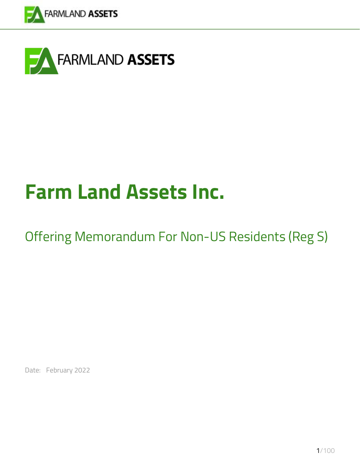



# **Farm Land Assets Inc.**

## Offering Memorandum For Non-US Residents (Reg S)

Date: February 2022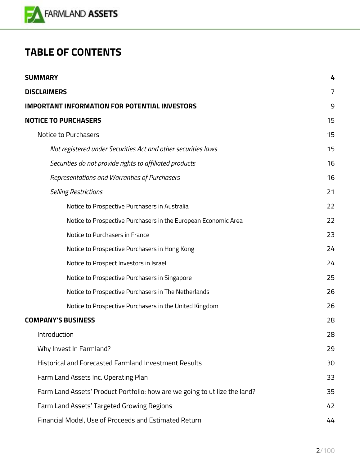

## **TABLE OF CONTENTS**

| <b>SUMMARY</b>                                                             |                |
|----------------------------------------------------------------------------|----------------|
| <b>DISCLAIMERS</b>                                                         | $\overline{7}$ |
| <b>IMPORTANT INFORMATION FOR POTENTIAL INVESTORS</b>                       | 9              |
| <b>NOTICE TO PURCHASERS</b>                                                | 15             |
| Notice to Purchasers                                                       | 15             |
| Not registered under Securities Act and other securities laws              | 15             |
| Securities do not provide rights to affiliated products                    | 16             |
| Representations and Warranties of Purchasers                               | 16             |
| <b>Selling Restrictions</b>                                                | 21             |
| Notice to Prospective Purchasers in Australia                              | 22             |
| Notice to Prospective Purchasers in the European Economic Area             | 22             |
| Notice to Purchasers in France                                             | 23             |
| Notice to Prospective Purchasers in Hong Kong                              | 24             |
| Notice to Prospect Investors in Israel                                     | 24             |
| Notice to Prospective Purchasers in Singapore                              | 25             |
| Notice to Prospective Purchasers in The Netherlands                        | 26             |
| Notice to Prospective Purchasers in the United Kingdom                     | 26             |
| <b>COMPANY'S BUSINESS</b>                                                  | 28             |
| Introduction                                                               | 28             |
| Why Invest In Farmland?                                                    | 29             |
| Historical and Forecasted Farmland Investment Results                      | 30             |
| Farm Land Assets Inc. Operating Plan                                       | 33             |
| Farm Land Assets' Product Portfolio: how are we going to utilize the land? |                |
| Farm Land Assets' Targeted Growing Regions                                 | 42             |
| Financial Model, Use of Proceeds and Estimated Return                      |                |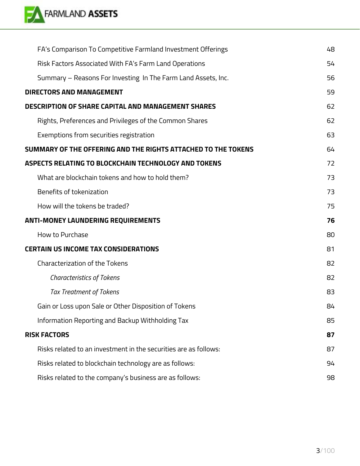

| FA's Comparison To Competitive Farmland Investment Offerings     | 48 |
|------------------------------------------------------------------|----|
| Risk Factors Associated With FA's Farm Land Operations           | 54 |
| Summary - Reasons For Investing In The Farm Land Assets, Inc.    | 56 |
| <b>DIRECTORS AND MANAGEMENT</b>                                  | 59 |
| <b>DESCRIPTION OF SHARE CAPITAL AND MANAGEMENT SHARES</b>        | 62 |
| Rights, Preferences and Privileges of the Common Shares          | 62 |
| Exemptions from securities registration                          | 63 |
| SUMMARY OF THE OFFERING AND THE RIGHTS ATTACHED TO THE TOKENS    | 64 |
| ASPECTS RELATING TO BLOCKCHAIN TECHNOLOGY AND TOKENS             | 72 |
| What are blockchain tokens and how to hold them?                 | 73 |
| Benefits of tokenization                                         | 73 |
| How will the tokens be traded?                                   | 75 |
| <b>ANTI-MONEY LAUNDERING REQUIREMENTS</b>                        | 76 |
| How to Purchase                                                  | 80 |
| <b>CERTAIN US INCOME TAX CONSIDERATIONS</b>                      | 81 |
| <b>Characterization of the Tokens</b>                            | 82 |
| <b>Characteristics of Tokens</b>                                 | 82 |
| <b>Tax Treatment of Tokens</b>                                   | 83 |
| Gain or Loss upon Sale or Other Disposition of Tokens            | 84 |
| Information Reporting and Backup Withholding Tax                 | 85 |
| <b>RISK FACTORS</b>                                              | 87 |
| Risks related to an investment in the securities are as follows: | 87 |
| Risks related to blockchain technology are as follows:           | 94 |
| Risks related to the company's business are as follows:          | 98 |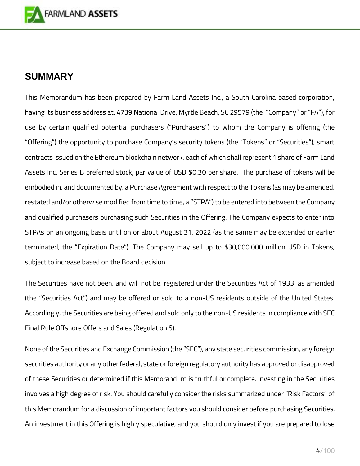

## <span id="page-3-0"></span>**SUMMARY**

This Memorandum has been prepared by Farm Land Assets Inc., a South Carolina based corporation, having its business address at: 4739 National Drive, Myrtle Beach, SC 29579 (the "Company" or "FA"), for use by certain qualified potential purchasers ("Purchasers") to whom the Company is offering (the "Offering") the opportunity to purchase Company's security tokens (the "Tokens" or "Securities"), smart contracts issued on the Ethereum blockchain network, each of which shall represent 1 share of Farm Land Assets Inc. Series B preferred stock, par value of USD \$0.30 per share. The purchase of tokens will be embodied in, and documented by, a Purchase Agreement with respect to the Tokens (as may be amended, restated and/or otherwise modified from time to time, a "STPA") to be entered into between the Company and qualified purchasers purchasing such Securities in the Offering. The Company expects to enter into STPAs on an ongoing basis until on or about August 31, 2022 (as the same may be extended or earlier terminated, the "Expiration Date"). The Company may sell up to \$30,000,000 million USD in Tokens, subject to increase based on the Board decision.

The Securities have not been, and will not be, registered under the Securities Act of 1933, as amended (the "Securities Act") and may be offered or sold to a non-US residents outside of the United States. Accordingly, the Securities are being offered and sold only to the non-US residents in compliance with SEC Final Rule Offshore Offers and Sales (Regulation S).

None of the Securities and Exchange Commission (the "SEC"), any state securities commission, any foreign securities authority or any other federal, state or foreign regulatory authority has approved or disapproved of these Securities or determined if this Memorandum is truthful or complete. Investing in the Securities involves a high degree of risk. You should carefully consider the risks summarized under "Risk Factors" of this Memorandum for a discussion of important factors you should consider before purchasing Securities. An investment in this Offering is highly speculative, and you should only invest if you are prepared to lose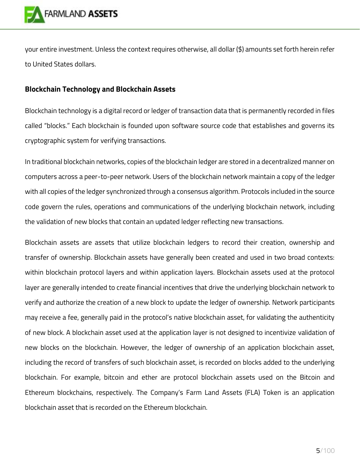

your entire investment. Unless the context requires otherwise, all dollar (\$) amounts set forth herein refer to United States dollars.

## **Blockchain Technology and Blockchain Assets**

Blockchain technology is a digital record or ledger of transaction data that is permanently recorded in files called "blocks." Each blockchain is founded upon software source code that establishes and governs its cryptographic system for verifying transactions.

In traditional blockchain networks, copies of the blockchain ledger are stored in a decentralized manner on computers across a peer-to-peer network. Users of the blockchain network maintain a copy of the ledger with all copies of the ledger synchronized through a consensus algorithm. Protocols included in the source code govern the rules, operations and communications of the underlying blockchain network, including the validation of new blocks that contain an updated ledger reflecting new transactions.

Blockchain assets are assets that utilize blockchain ledgers to record their creation, ownership and transfer of ownership. Blockchain assets have generally been created and used in two broad contexts: within blockchain protocol layers and within application layers. Blockchain assets used at the protocol layer are generally intended to create financial incentives that drive the underlying blockchain network to verify and authorize the creation of a new block to update the ledger of ownership. Network participants may receive a fee, generally paid in the protocol's native blockchain asset, for validating the authenticity of new block. A blockchain asset used at the application layer is not designed to incentivize validation of new blocks on the blockchain. However, the ledger of ownership of an application blockchain asset, including the record of transfers of such blockchain asset, is recorded on blocks added to the underlying blockchain. For example, bitcoin and ether are protocol blockchain assets used on the Bitcoin and Ethereum blockchains, respectively. The Company's Farm Land Assets (FLA) Token is an application blockchain asset that is recorded on the Ethereum blockchain.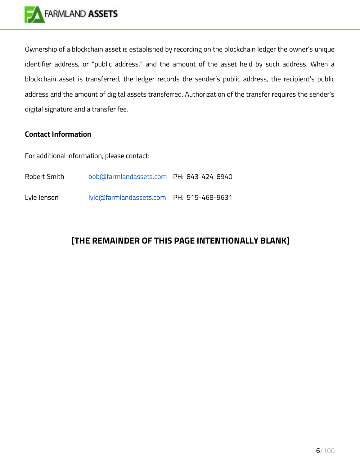

Ownership of a blockchain asset is established by recording on the blockchain ledger the owner's unique identifier address, or "public address," and the amount of the asset held by such address. When a blockchain asset is transferred, the ledger records the sender's public address, the recipient's public address and the amount of digital assets transferred. Authorization of the transfer requires the sender's digital signature and a transfer fee.

## **Contact Information**

For additional information, please contact:

| Robert Smith | bob@farmlandassets.com PH: 843-424-8940  |  |
|--------------|------------------------------------------|--|
| Lyle Jensen  | lyle@farmlandassets.com PH: 515-468-9631 |  |

## **[THE REMAINDER OF THIS PAGE INTENTIONALLY BLANK]**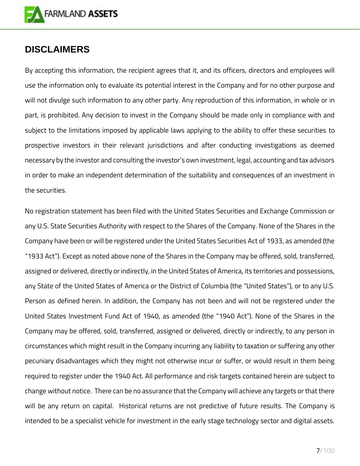

## <span id="page-6-0"></span>**DISCLAIMERS**

By accepting this information, the recipient agrees that it, and its officers, directors and employees will use the information only to evaluate its potential interest in the Company and for no other purpose and will not divulge such information to any other party. Any reproduction of this information, in whole or in part, is prohibited. Any decision to invest in the Company should be made only in compliance with and subject to the limitations imposed by applicable laws applying to the ability to offer these securities to prospective investors in their relevant jurisdictions and after conducting investigations as deemed necessary by the investor and consulting the investor's own investment, legal, accounting and tax advisors in order to make an independent determination of the suitability and consequences of an investment in the securities.

No registration statement has been filed with the United States Securities and Exchange Commission or any U.S. State Securities Authority with respect to the Shares of the Company. None of the Shares in the Company have been or will be registered under the United States Securities Act of 1933, as amended (the "1933 Act"). Except as noted above none of the Shares in the Company may be offered, sold, transferred, assigned or delivered, directly or indirectly, in the United States of America, its territories and possessions, any State of the United States of America or the District of Columbia (the "United States"), or to any U.S. Person as defined herein. In addition, the Company has not been and will not be registered under the United States Investment Fund Act of 1940, as amended (the "1940 Act"). None of the Shares in the Company may be offered, sold, transferred, assigned or delivered, directly or indirectly, to any person in circumstances which might result in the Company incurring any liability to taxation or suffering any other pecuniary disadvantages which they might not otherwise incur or suffer, or would result in them being required to register under the 1940 Act. All performance and risk targets contained herein are subject to change without notice. There can be no assurance that the Company will achieve any targets or that there will be any return on capital. Historical returns are not predictive of future results. The Company is intended to be a specialist vehicle for investment in the early stage technology sector and digital assets.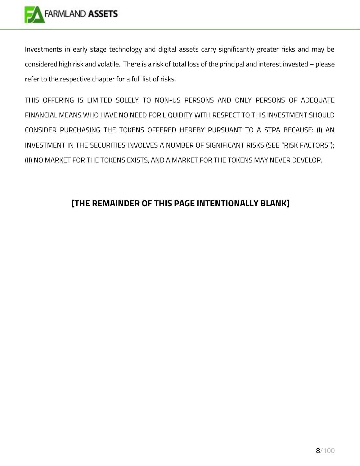

Investments in early stage technology and digital assets carry significantly greater risks and may be considered high risk and volatile. There is a risk of total loss of the principal and interest invested – please refer to the respective chapter for a full list of risks.

THIS OFFERING IS LIMITED SOLELY TO NON-US PERSONS AND ONLY PERSONS OF ADEQUATE FINANCIAL MEANS WHO HAVE NO NEED FOR LIQUIDITY WITH RESPECT TO THIS INVESTMENT SHOULD CONSIDER PURCHASING THE TOKENS OFFERED HEREBY PURSUANT TO A STPA BECAUSE: (I) AN INVESTMENT IN THE SECURITIES INVOLVES A NUMBER OF SIGNIFICANT RISKS (SEE "RISK FACTORS"); (II) NO MARKET FOR THE TOKENS EXISTS, AND A MARKET FOR THE TOKENS MAY NEVER DEVELOP.

## **[THE REMAINDER OF THIS PAGE INTENTIONALLY BLANK]**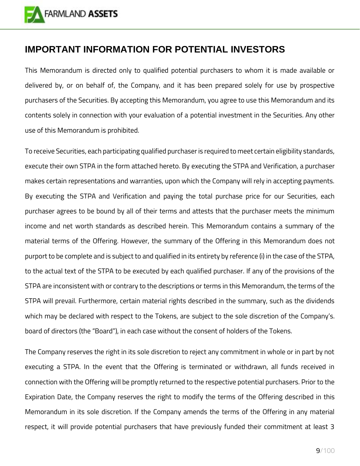

## <span id="page-8-0"></span>**IMPORTANT INFORMATION FOR POTENTIAL INVESTORS**

This Memorandum is directed only to qualified potential purchasers to whom it is made available or delivered by, or on behalf of, the Company, and it has been prepared solely for use by prospective purchasers of the Securities. By accepting this Memorandum, you agree to use this Memorandum and its contents solely in connection with your evaluation of a potential investment in the Securities. Any other use of this Memorandum is prohibited.

To receive Securities, each participating qualified purchaser is required to meet certain eligibility standards, execute their own STPA in the form attached hereto. By executing the STPA and Verification, a purchaser makes certain representations and warranties, upon which the Company will rely in accepting payments. By executing the STPA and Verification and paying the total purchase price for our Securities, each purchaser agrees to be bound by all of their terms and attests that the purchaser meets the minimum income and net worth standards as described herein. This Memorandum contains a summary of the material terms of the Offering. However, the summary of the Offering in this Memorandum does not purport to be complete and is subject to and qualified in its entirety by reference (i) in the case of the STPA, to the actual text of the STPA to be executed by each qualified purchaser. If any of the provisions of the STPA are inconsistent with or contrary to the descriptions or terms in this Memorandum, the terms of the STPA will prevail. Furthermore, certain material rights described in the summary, such as the dividends which may be declared with respect to the Tokens, are subject to the sole discretion of the Company's. board of directors (the "Board"), in each case without the consent of holders of the Tokens.

The Company reserves the right in its sole discretion to reject any commitment in whole or in part by not executing a STPA. In the event that the Offering is terminated or withdrawn, all funds received in connection with the Offering will be promptly returned to the respective potential purchasers. Prior to the Expiration Date, the Company reserves the right to modify the terms of the Offering described in this Memorandum in its sole discretion. If the Company amends the terms of the Offering in any material respect, it will provide potential purchasers that have previously funded their commitment at least 3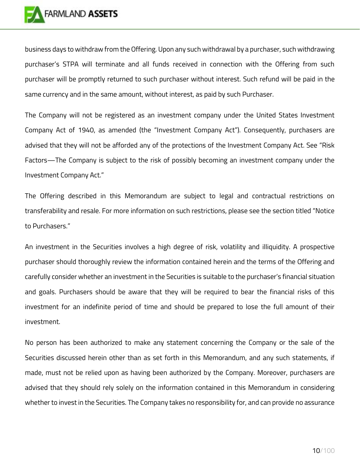

business days to withdraw from the Offering. Upon any such withdrawal by a purchaser, such withdrawing purchaser's STPA will terminate and all funds received in connection with the Offering from such purchaser will be promptly returned to such purchaser without interest. Such refund will be paid in the same currency and in the same amount, without interest, as paid by such Purchaser.

The Company will not be registered as an investment company under the United States Investment Company Act of 1940, as amended (the "Investment Company Act"). Consequently, purchasers are advised that they will not be afforded any of the protections of the Investment Company Act. See "Risk Factors—The Company is subject to the risk of possibly becoming an investment company under the Investment Company Act."

The Offering described in this Memorandum are subject to legal and contractual restrictions on transferability and resale. For more information on such restrictions, please see the section titled "Notice to Purchasers."

An investment in the Securities involves a high degree of risk, volatility and illiquidity. A prospective purchaser should thoroughly review the information contained herein and the terms of the Offering and carefully consider whether an investment in the Securities is suitable to the purchaser's financial situation and goals. Purchasers should be aware that they will be required to bear the financial risks of this investment for an indefinite period of time and should be prepared to lose the full amount of their investment.

No person has been authorized to make any statement concerning the Company or the sale of the Securities discussed herein other than as set forth in this Memorandum, and any such statements, if made, must not be relied upon as having been authorized by the Company. Moreover, purchasers are advised that they should rely solely on the information contained in this Memorandum in considering whether to invest in the Securities. The Company takes no responsibility for, and can provide no assurance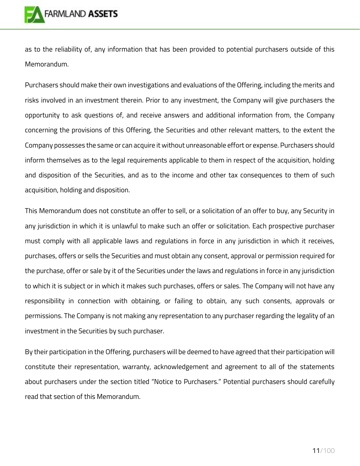

as to the reliability of, any information that has been provided to potential purchasers outside of this Memorandum.

Purchasers should make their own investigations and evaluations of the Offering, including the merits and risks involved in an investment therein. Prior to any investment, the Company will give purchasers the opportunity to ask questions of, and receive answers and additional information from, the Company concerning the provisions of this Offering, the Securities and other relevant matters, to the extent the Company possesses the same or can acquire it without unreasonable effort or expense. Purchasers should inform themselves as to the legal requirements applicable to them in respect of the acquisition, holding and disposition of the Securities, and as to the income and other tax consequences to them of such acquisition, holding and disposition.

This Memorandum does not constitute an offer to sell, or a solicitation of an offer to buy, any Security in any jurisdiction in which it is unlawful to make such an offer or solicitation. Each prospective purchaser must comply with all applicable laws and regulations in force in any jurisdiction in which it receives, purchases, offers or sells the Securities and must obtain any consent, approval or permission required for the purchase, offer or sale by it of the Securities under the laws and regulations in force in any jurisdiction to which it is subject or in which it makes such purchases, offers or sales. The Company will not have any responsibility in connection with obtaining, or failing to obtain, any such consents, approvals or permissions. The Company is not making any representation to any purchaser regarding the legality of an investment in the Securities by such purchaser.

By their participation in the Offering, purchasers will be deemed to have agreed that their participation will constitute their representation, warranty, acknowledgement and agreement to all of the statements about purchasers under the section titled "Notice to Purchasers." Potential purchasers should carefully read that section of this Memorandum.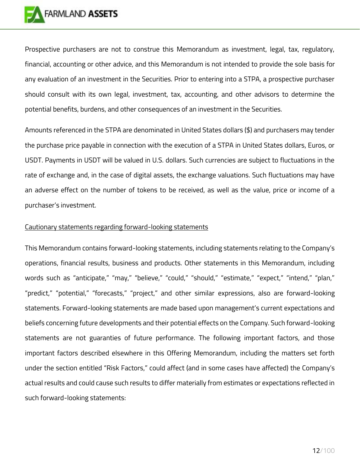

Prospective purchasers are not to construe this Memorandum as investment, legal, tax, regulatory, financial, accounting or other advice, and this Memorandum is not intended to provide the sole basis for any evaluation of an investment in the Securities. Prior to entering into a STPA, a prospective purchaser should consult with its own legal, investment, tax, accounting, and other advisors to determine the potential benefits, burdens, and other consequences of an investment in the Securities.

Amounts referenced in the STPA are denominated in United States dollars (\$) and purchasers may tender the purchase price payable in connection with the execution of a STPA in United States dollars, Euros, or USDT. Payments in USDT will be valued in U.S. dollars. Such currencies are subject to fluctuations in the rate of exchange and, in the case of digital assets, the exchange valuations. Such fluctuations may have an adverse effect on the number of tokens to be received, as well as the value, price or income of a purchaser's investment.

#### Cautionary statements regarding forward-looking statements

This Memorandum contains forward-looking statements, including statements relating to the Company's operations, financial results, business and products. Other statements in this Memorandum, including words such as "anticipate," "may," "believe," "could," "should," "estimate," "expect," "intend," "plan," "predict," "potential," "forecasts," "project," and other similar expressions, also are forward-looking statements. Forward-looking statements are made based upon management's current expectations and beliefs concerning future developments and their potential effects on the Company. Such forward-looking statements are not guaranties of future performance. The following important factors, and those important factors described elsewhere in this Offering Memorandum, including the matters set forth under the section entitled "Risk Factors," could affect (and in some cases have affected) the Company's actual results and could cause such results to differ materially from estimates or expectations reflected in such forward-looking statements: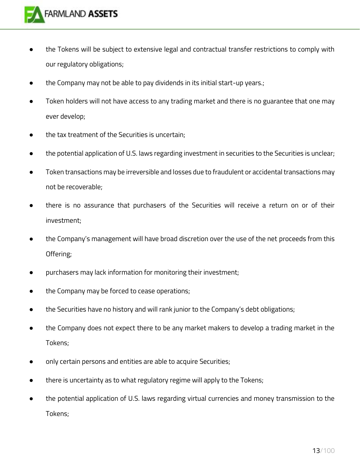

- the Tokens will be subject to extensive legal and contractual transfer restrictions to comply with our regulatory obligations;
- the Company may not be able to pay dividends in its initial start-up years.;
- Token holders will not have access to any trading market and there is no guarantee that one may ever develop;
- the tax treatment of the Securities is uncertain;
- the potential application of U.S. laws regarding investment in securities to the Securities is unclear;
- Token transactions may be irreversible and losses due to fraudulent or accidental transactions may not be recoverable;
- there is no assurance that purchasers of the Securities will receive a return on or of their investment;
- the Company's management will have broad discretion over the use of the net proceeds from this Offering;
- purchasers may lack information for monitoring their investment;
- the Company may be forced to cease operations;
- the Securities have no history and will rank junior to the Company's debt obligations;
- the Company does not expect there to be any market makers to develop a trading market in the Tokens;
- only certain persons and entities are able to acquire Securities;
- there is uncertainty as to what regulatory regime will apply to the Tokens;
- the potential application of U.S. laws regarding virtual currencies and money transmission to the Tokens;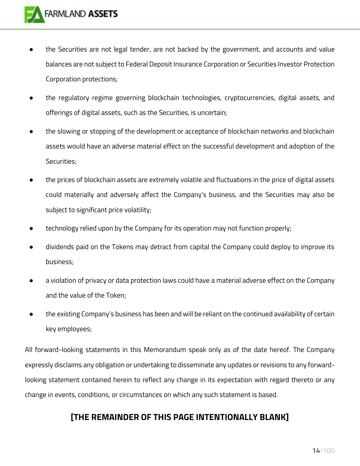- the Securities are not legal tender, are not backed by the government, and accounts and value balances are not subject to Federal Deposit Insurance Corporation or Securities Investor Protection Corporation protections;
- the regulatory regime governing blockchain technologies, cryptocurrencies, digital assets, and offerings of digital assets, such as the Securities, is uncertain;
- the slowing or stopping of the development or acceptance of blockchain networks and blockchain assets would have an adverse material effect on the successful development and adoption of the Securities;
- the prices of blockchain assets are extremely volatile and fluctuations in the price of digital assets could materially and adversely affect the Company's business, and the Securities may also be subject to significant price volatility;
- technology relied upon by the Company for its operation may not function properly;
- dividends paid on the Tokens may detract from capital the Company could deploy to improve its business;
- a violation of privacy or data protection laws could have a material adverse effect on the Company and the value of the Token;
- the existing Company's business has been and will be reliant on the continued availability of certain key employees;

All forward-looking statements in this Memorandum speak only as of the date hereof. The Company expressly disclaims any obligation or undertaking to disseminate any updates or revisions to any forwardlooking statement contained herein to reflect any change in its expectation with regard thereto or any change in events, conditions, or circumstances on which any such statement is based.

## **[THE REMAINDER OF THIS PAGE INTENTIONALLY BLANK]**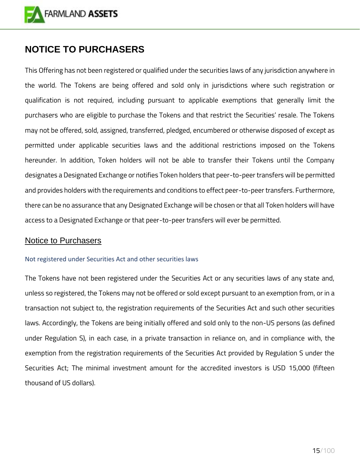

## <span id="page-14-0"></span>**NOTICE TO PURCHASERS**

This Offering has not been registered or qualified under the securities laws of any jurisdiction anywhere in the world. The Tokens are being offered and sold only in jurisdictions where such registration or qualification is not required, including pursuant to applicable exemptions that generally limit the purchasers who are eligible to purchase the Tokens and that restrict the Securities' resale. The Tokens may not be offered, sold, assigned, transferred, pledged, encumbered or otherwise disposed of except as permitted under applicable securities laws and the additional restrictions imposed on the Tokens hereunder. In addition, Token holders will not be able to transfer their Tokens until the Company designates a Designated Exchange or notifies Token holders that peer-to-peer transfers will be permitted and provides holders with the requirements and conditions to effect peer-to-peer transfers. Furthermore, there can be no assurance that any Designated Exchange will be chosen or that all Token holders will have access to a Designated Exchange or that peer-to-peer transfers will ever be permitted.

## <span id="page-14-1"></span>Notice to Purchasers

#### <span id="page-14-2"></span>Not registered under Securities Act and other securities laws

The Tokens have not been registered under the Securities Act or any securities laws of any state and, unless so registered, the Tokens may not be offered or sold except pursuant to an exemption from, or in a transaction not subject to, the registration requirements of the Securities Act and such other securities laws. Accordingly, the Tokens are being initially offered and sold only to the non-US persons (as defined under Regulation S), in each case, in a private transaction in reliance on, and in compliance with, the exemption from the registration requirements of the Securities Act provided by Regulation S under the Securities Act; The minimal investment amount for the accredited investors is USD 15,000 (fifteen thousand of US dollars).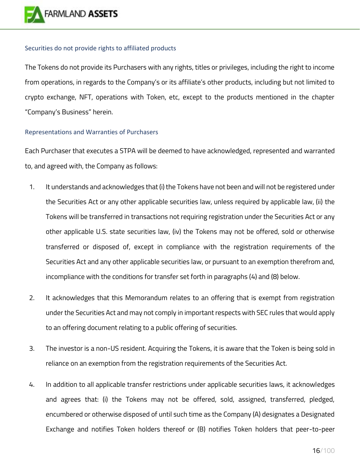

#### <span id="page-15-0"></span>Securities do not provide rights to affiliated products

The Tokens do not provide its Purchasers with any rights, titles or privileges, including the right to income from operations, in regards to the Company's or its affiliate's other products, including but not limited to crypto exchange, NFT, operations with Token, etc, except to the products mentioned in the chapter "Company's Business" herein.

#### <span id="page-15-1"></span>Representations and Warranties of Purchasers

Each Purchaser that executes a STPA will be deemed to have acknowledged, represented and warranted to, and agreed with, the Company as follows:

- 1. It understands and acknowledges that (i) the Tokens have not been and will not be registered under the Securities Act or any other applicable securities law, unless required by applicable law, (ii) the Tokens will be transferred in transactions not requiring registration under the Securities Act or any other applicable U.S. state securities law, (iv) the Tokens may not be offered, sold or otherwise transferred or disposed of, except in compliance with the registration requirements of the Securities Act and any other applicable securities law, or pursuant to an exemption therefrom and, incompliance with the conditions for transfer set forth in paragraphs (4) and (8) below.
- 2. It acknowledges that this Memorandum relates to an offering that is exempt from registration under the Securities Act and may not comply in important respects with SEC rules that would apply to an offering document relating to a public offering of securities.
- 3. The investor is a non-US resident. Acquiring the Tokens, it is aware that the Token is being sold in reliance on an exemption from the registration requirements of the Securities Act.
- 4. In addition to all applicable transfer restrictions under applicable securities laws, it acknowledges and agrees that: (i) the Tokens may not be offered, sold, assigned, transferred, pledged, encumbered or otherwise disposed of until such time as the Company (A) designates a Designated Exchange and notifies Token holders thereof or (B) notifies Token holders that peer-to-peer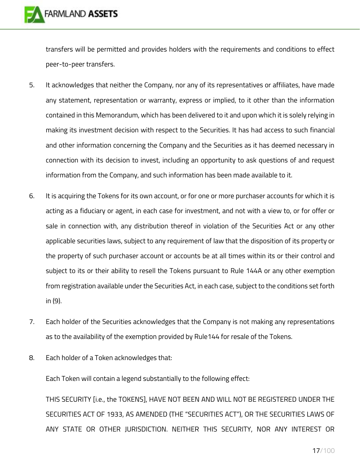transfers will be permitted and provides holders with the requirements and conditions to effect peer-to-peer transfers.

- 5. It acknowledges that neither the Company, nor any of its representatives or affiliates, have made any statement, representation or warranty, express or implied, to it other than the information contained in this Memorandum, which has been delivered to it and upon which it is solely relying in making its investment decision with respect to the Securities. It has had access to such financial and other information concerning the Company and the Securities as it has deemed necessary in connection with its decision to invest, including an opportunity to ask questions of and request information from the Company, and such information has been made available to it.
- 6. It is acquiring the Tokens for its own account, or for one or more purchaser accounts for which it is acting as a fiduciary or agent, in each case for investment, and not with a view to, or for offer or sale in connection with, any distribution thereof in violation of the Securities Act or any other applicable securities laws, subject to any requirement of law that the disposition of its property or the property of such purchaser account or accounts be at all times within its or their control and subject to its or their ability to resell the Tokens pursuant to Rule 144A or any other exemption from registration available under the Securities Act, in each case, subject to the conditions set forth in (9).
- 7. Each holder of the Securities acknowledges that the Company is not making any representations as to the availability of the exemption provided by Rule144 for resale of the Tokens.
- 8. Each holder of a Token acknowledges that:

Each Token will contain a legend substantially to the following effect:

THIS SECURITY [i.e., the TOKENS], HAVE NOT BEEN AND WILL NOT BE REGISTERED UNDER THE SECURITIES ACT OF 1933, AS AMENDED (THE "SECURITIES ACT"), OR THE SECURITIES LAWS OF ANY STATE OR OTHER JURISDICTION. NEITHER THIS SECURITY, NOR ANY INTEREST OR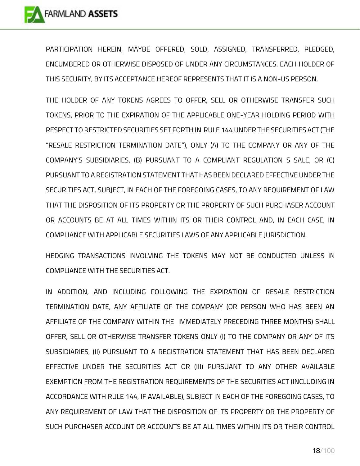PARTICIPATION HEREIN, MAYBE OFFERED, SOLD, ASSIGNED, TRANSFERRED, PLEDGED, ENCUMBERED OR OTHERWISE DISPOSED OF UNDER ANY CIRCUMSTANCES. EACH HOLDER OF THIS SECURITY, BY ITS ACCEPTANCE HEREOF REPRESENTS THAT IT IS A NON-US PERSON.

THE HOLDER OF ANY TOKENS AGREES TO OFFER, SELL OR OTHERWISE TRANSFER SUCH TOKENS, PRIOR TO THE EXPIRATION OF THE APPLICABLE ONE-YEAR HOLDING PERIOD WITH RESPECT TO RESTRICTED SECURITIES SET FORTH IN RULE 144 UNDER THE SECURITIES ACT (THE "RESALE RESTRICTION TERMINATION DATE"), ONLY (A) TO THE COMPANY OR ANY OF THE COMPANY'S SUBSIDIARIES, (B) PURSUANT TO A COMPLIANT REGULATION S SALE, OR (C) PURSUANT TO A REGISTRATION STATEMENT THAT HAS BEEN DECLARED EFFECTIVE UNDER THE SECURITIES ACT, SUBJECT, IN EACH OF THE FOREGOING CASES, TO ANY REQUIREMENT OF LAW THAT THE DISPOSITION OF ITS PROPERTY OR THE PROPERTY OF SUCH PURCHASER ACCOUNT OR ACCOUNTS BE AT ALL TIMES WITHIN ITS OR THEIR CONTROL AND, IN EACH CASE, IN COMPLIANCE WITH APPLICABLE SECURITIES LAWS OF ANY APPLICABLE JURISDICTION.

HEDGING TRANSACTIONS INVOLVING THE TOKENS MAY NOT BE CONDUCTED UNLESS IN COMPLIANCE WITH THE SECURITIES ACT.

IN ADDITION, AND INCLUDING FOLLOWING THE EXPIRATION OF RESALE RESTRICTION TERMINATION DATE, ANY AFFILIATE OF THE COMPANY (OR PERSON WHO HAS BEEN AN AFFILIATE OF THE COMPANY WITHIN THE IMMEDIATELY PRECEDING THREE MONTHS) SHALL OFFER, SELL OR OTHERWISE TRANSFER TOKENS ONLY (I) TO THE COMPANY OR ANY OF ITS SUBSIDIARIES, (II) PURSUANT TO A REGISTRATION STATEMENT THAT HAS BEEN DECLARED EFFECTIVE UNDER THE SECURITIES ACT OR (III) PURSUANT TO ANY OTHER AVAILABLE EXEMPTION FROM THE REGISTRATION REQUIREMENTS OF THE SECURITIES ACT (INCLUDING IN ACCORDANCE WITH RULE 144, IF AVAILABLE), SUBJECT IN EACH OF THE FOREGOING CASES, TO ANY REQUIREMENT OF LAW THAT THE DISPOSITION OF ITS PROPERTY OR THE PROPERTY OF SUCH PURCHASER ACCOUNT OR ACCOUNTS BE AT ALL TIMES WITHIN ITS OR THEIR CONTROL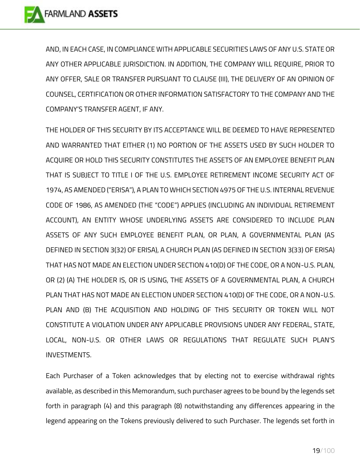AND, IN EACH CASE, IN COMPLIANCE WITH APPLICABLE SECURITIES LAWS OF ANY U.S. STATE OR ANY OTHER APPLICABLE JURISDICTION. IN ADDITION, THE COMPANY WILL REQUIRE, PRIOR TO ANY OFFER, SALE OR TRANSFER PURSUANT TO CLAUSE (III), THE DELIVERY OF AN OPINION OF COUNSEL, CERTIFICATION OR OTHER INFORMATION SATISFACTORY TO THE COMPANY AND THE COMPANY'S TRANSFER AGENT, IF ANY.

THE HOLDER OF THIS SECURITY BY ITS ACCEPTANCE WILL BE DEEMED TO HAVE REPRESENTED AND WARRANTED THAT EITHER (1) NO PORTION OF THE ASSETS USED BY SUCH HOLDER TO ACQUIRE OR HOLD THIS SECURITY CONSTITUTES THE ASSETS OF AN EMPLOYEE BENEFIT PLAN THAT IS SUBJECT TO TITLE I OF THE U.S. EMPLOYEE RETIREMENT INCOME SECURITY ACT OF 1974, AS AMENDED ("ERISA"), A PLAN TO WHICH SECTION 4975 OF THE U.S. INTERNAL REVENUE CODE OF 1986, AS AMENDED (THE "CODE") APPLIES (INCLUDING AN INDIVIDUAL RETIREMENT ACCOUNT), AN ENTITY WHOSE UNDERLYING ASSETS ARE CONSIDERED TO INCLUDE PLAN ASSETS OF ANY SUCH EMPLOYEE BENEFIT PLAN, OR PLAN, A GOVERNMENTAL PLAN (AS DEFINED IN SECTION 3(32) OF ERISA), A CHURCH PLAN (AS DEFINED IN SECTION 3(33) OF ERISA) THAT HAS NOT MADE AN ELECTION UNDER SECTION 410(D) OF THE CODE, OR A NON-U.S. PLAN, OR (2) (A) THE HOLDER IS, OR IS USING, THE ASSETS OF A GOVERNMENTAL PLAN, A CHURCH PLAN THAT HAS NOT MADE AN ELECTION UNDER SECTION 410(D) OF THE CODE, OR A NON-U.S. PLAN AND (B) THE ACQUISITION AND HOLDING OF THIS SECURITY OR TOKEN WILL NOT CONSTITUTE A VIOLATION UNDER ANY APPLICABLE PROVISIONS UNDER ANY FEDERAL, STATE, LOCAL, NON-U.S. OR OTHER LAWS OR REGULATIONS THAT REGULATE SUCH PLAN'S INVESTMENTS.

Each Purchaser of a Token acknowledges that by electing not to exercise withdrawal rights available, as described in this Memorandum, such purchaser agrees to be bound by the legends set forth in paragraph (4) and this paragraph (8) notwithstanding any differences appearing in the legend appearing on the Tokens previously delivered to such Purchaser. The legends set forth in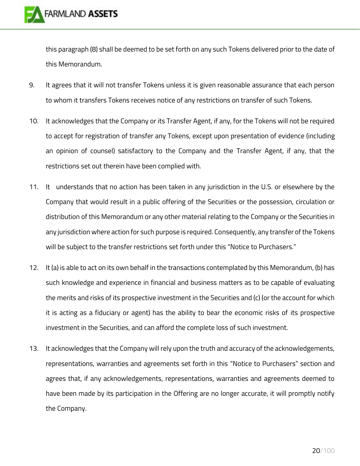this paragraph (8) shall be deemed to be set forth on any such Tokens delivered prior to the date of this Memorandum.

- 9. It agrees that it will not transfer Tokens unless it is given reasonable assurance that each person to whom it transfers Tokens receives notice of any restrictions on transfer of such Tokens.
- 10. It acknowledges that the Company or its Transfer Agent, if any, for the Tokens will not be required to accept for registration of transfer any Tokens, except upon presentation of evidence (including an opinion of counsel) satisfactory to the Company and the Transfer Agent, if any, that the restrictions set out therein have been complied with.
- 11. It understands that no action has been taken in any jurisdiction in the U.S. or elsewhere by the Company that would result in a public offering of the Securities or the possession, circulation or distribution of this Memorandum or any other material relating to the Company or the Securities in any jurisdiction where action for such purpose is required. Consequently, any transfer of the Tokens will be subject to the transfer restrictions set forth under this "Notice to Purchasers."
- 12. It (a) is able to act on its own behalf in the transactions contemplated by this Memorandum, (b) has such knowledge and experience in financial and business matters as to be capable of evaluating the merits and risks of its prospective investment in the Securities and (c) (or the account for which it is acting as a fiduciary or agent) has the ability to bear the economic risks of its prospective investment in the Securities, and can afford the complete loss of such investment.
- 13. It acknowledges that the Company will rely upon the truth and accuracy of the acknowledgements, representations, warranties and agreements set forth in this "Notice to Purchasers" section and agrees that, if any acknowledgements, representations, warranties and agreements deemed to have been made by its participation in the Offering are no longer accurate, it will promptly notify the Company.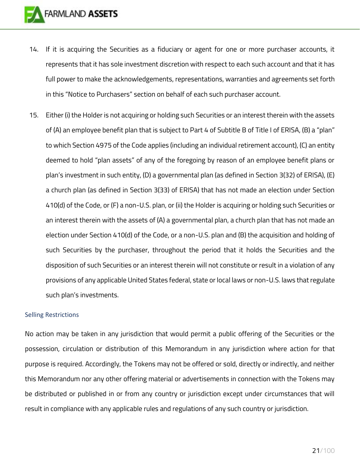- 14. If it is acquiring the Securities as a fiduciary or agent for one or more purchaser accounts, it represents that it has sole investment discretion with respect to each such account and that it has full power to make the acknowledgements, representations, warranties and agreements set forth in this "Notice to Purchasers" section on behalf of each such purchaser account.
- 15. Either (i) the Holder is not acquiring or holding such Securities or an interest therein with the assets of (A) an employee benefit plan that is subject to Part 4 of Subtitle B of Title I of ERISA, (B) a "plan" to which Section 4975 of the Code applies (including an individual retirement account), (C) an entity deemed to hold "plan assets" of any of the foregoing by reason of an employee benefit plans or plan's investment in such entity, (D) a governmental plan (as defined in Section 3(32) of ERISA), (E) a church plan (as defined in Section 3(33) of ERISA) that has not made an election under Section 410(d) of the Code, or (F) a non-U.S. plan, or (ii) the Holder is acquiring or holding such Securities or an interest therein with the assets of (A) a governmental plan, a church plan that has not made an election under Section 410(d) of the Code, or a non-U.S. plan and (B) the acquisition and holding of such Securities by the purchaser, throughout the period that it holds the Securities and the disposition of such Securities or an interest therein will not constitute or result in a violation of any provisions of any applicable United States federal, state or local laws or non-U.S. laws that regulate such plan's investments.

#### <span id="page-20-0"></span>Selling Restrictions

No action may be taken in any jurisdiction that would permit a public offering of the Securities or the possession, circulation or distribution of this Memorandum in any jurisdiction where action for that purpose is required. Accordingly, the Tokens may not be offered or sold, directly or indirectly, and neither this Memorandum nor any other offering material or advertisements in connection with the Tokens may be distributed or published in or from any country or jurisdiction except under circumstances that will result in compliance with any applicable rules and regulations of any such country or jurisdiction.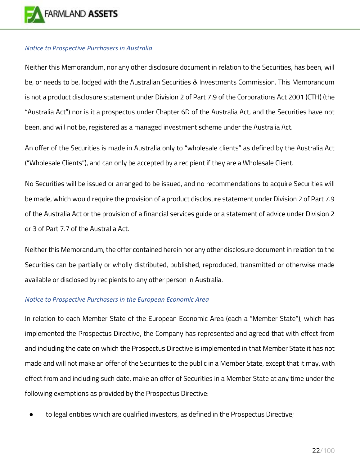

#### <span id="page-21-0"></span>*Notice to Prospective Purchasers in Australia*

Neither this Memorandum, nor any other disclosure document in relation to the Securities, has been, will be, or needs to be, lodged with the Australian Securities & Investments Commission. This Memorandum is not a product disclosure statement under Division 2 of Part 7.9 of the Corporations Act 2001 (CTH) (the "Australia Act") nor is it a prospectus under Chapter 6D of the Australia Act, and the Securities have not been, and will not be, registered as a managed investment scheme under the Australia Act.

An offer of the Securities is made in Australia only to "wholesale clients" as defined by the Australia Act ("Wholesale Clients"), and can only be accepted by a recipient if they are a Wholesale Client.

No Securities will be issued or arranged to be issued, and no recommendations to acquire Securities will be made, which would require the provision of a product disclosure statement under Division 2 of Part 7.9 of the Australia Act or the provision of a financial services guide or a statement of advice under Division 2 or 3 of Part 7.7 of the Australia Act.

Neither this Memorandum, the offer contained herein nor any other disclosure document in relation to the Securities can be partially or wholly distributed, published, reproduced, transmitted or otherwise made available or disclosed by recipients to any other person in Australia.

#### <span id="page-21-1"></span>*Notice to Prospective Purchasers in the European Economic Area*

In relation to each Member State of the European Economic Area (each a "Member State"), which has implemented the Prospectus Directive, the Company has represented and agreed that with effect from and including the date on which the Prospectus Directive is implemented in that Member State it has not made and will not make an offer of the Securities to the public in a Member State, except that it may, with effect from and including such date, make an offer of Securities in a Member State at any time under the following exemptions as provided by the Prospectus Directive:

to legal entities which are qualified investors, as defined in the Prospectus Directive;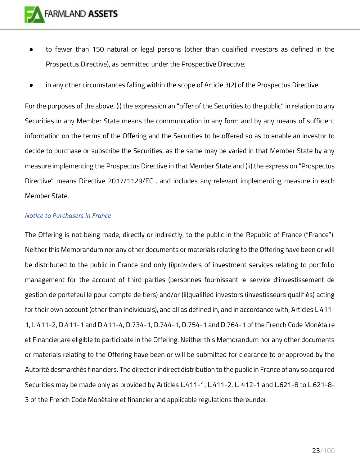

- to fewer than 150 natural or legal persons (other than qualified investors as defined in the Prospectus Directive), as permitted under the Prospective Directive;
- in any other circumstances falling within the scope of Article 3(2) of the Prospectus Directive.

For the purposes of the above, (i) the expression an "offer of the Securities to the public" in relation to any Securities in any Member State means the communication in any form and by any means of sufficient information on the terms of the Offering and the Securities to be offered so as to enable an investor to decide to purchase or subscribe the Securities, as the same may be varied in that Member State by any measure implementing the Prospectus Directive in that Member State and (ii) the expression "Prospectus Directive" means Directive 2017/1129/EC , and includes any relevant implementing measure in each Member State.

#### <span id="page-22-0"></span>*Notice to Purchasers in France*

The Offering is not being made, directly or indirectly, to the public in the Republic of France ("France"). Neither this Memorandum nor any other documents or materials relating to the Offering have been or will be distributed to the public in France and only (i)providers of investment services relating to portfolio management for the account of third parties (personnes fournissant le service d'investissement de gestion de portefeuille pour compte de tiers) and/or (ii)qualified investors (investisseurs qualifiés) acting for their own account (other than individuals), and all as defined in, and in accordance with, Articles L.411- 1, L.411-2, D.411-1 and D.411-4, D.734-1, D.744-1, D.754-1 and D.764-1 of the French Code Monétaire et Financier,are eligible to participate in the Offering. Neither this Memorandum nor any other documents or materials relating to the Offering have been or will be submitted for clearance to or approved by the Autorité desmarchés financiers. The direct or indirect distribution to the public in France of any so acquired Securities may be made only as provided by Articles L.411-1, L.411-2, L. 412-1 and L.621-8 to L.621-8- 3 of the French Code Monétaire et financier and applicable regulations thereunder.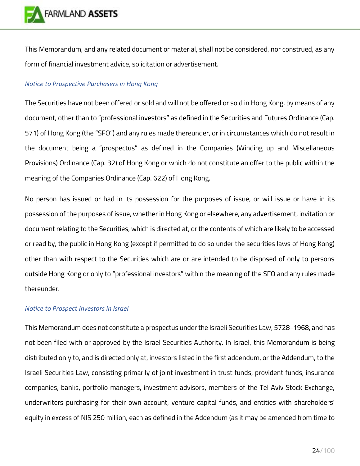

This Memorandum, and any related document or material, shall not be considered, nor construed, as any form of financial investment advice, solicitation or advertisement.

## <span id="page-23-0"></span>*Notice to Prospective Purchasers in Hong Kong*

The Securities have not been offered or sold and will not be offered or sold in Hong Kong, by means of any document, other than to "professional investors" as defined in the Securities and Futures Ordinance (Cap. 571) of Hong Kong (the "SFO") and any rules made thereunder, or in circumstances which do not result in the document being a "prospectus" as defined in the Companies (Winding up and Miscellaneous Provisions) Ordinance (Cap. 32) of Hong Kong or which do not constitute an offer to the public within the meaning of the Companies Ordinance (Cap. 622) of Hong Kong.

No person has issued or had in its possession for the purposes of issue, or will issue or have in its possession of the purposes of issue, whether in Hong Kong or elsewhere, any advertisement, invitation or document relating to the Securities, which is directed at, or the contents of which are likely to be accessed or read by, the public in Hong Kong (except if permitted to do so under the securities laws of Hong Kong) other than with respect to the Securities which are or are intended to be disposed of only to persons outside Hong Kong or only to "professional investors" within the meaning of the SFO and any rules made thereunder.

## <span id="page-23-1"></span>*Notice to Prospect Investors in Israel*

This Memorandum does not constitute a prospectus under the Israeli Securities Law, 5728-1968, and has not been filed with or approved by the Israel Securities Authority. In Israel, this Memorandum is being distributed only to, and is directed only at, investors listed in the first addendum, or the Addendum, to the Israeli Securities Law, consisting primarily of joint investment in trust funds, provident funds, insurance companies, banks, portfolio managers, investment advisors, members of the Tel Aviv Stock Exchange, underwriters purchasing for their own account, venture capital funds, and entities with shareholders' equity in excess of NIS 250 million, each as defined in the Addendum (as it may be amended from time to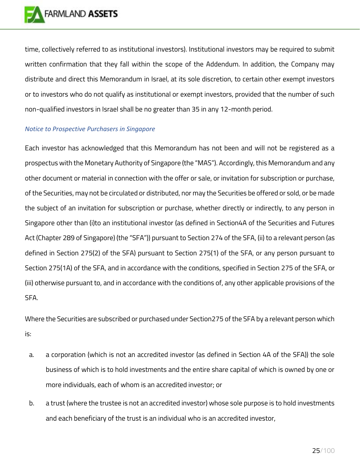

time, collectively referred to as institutional investors). Institutional investors may be required to submit written confirmation that they fall within the scope of the Addendum. In addition, the Company may distribute and direct this Memorandum in Israel, at its sole discretion, to certain other exempt investors or to investors who do not qualify as institutional or exempt investors, provided that the number of such non-qualified investors in Israel shall be no greater than 35 in any 12-month period.

#### <span id="page-24-0"></span>*Notice to Prospective Purchasers in Singapore*

Each investor has acknowledged that this Memorandum has not been and will not be registered as a prospectus with the Monetary Authority of Singapore (the "MAS"). Accordingly, this Memorandum and any other document or material in connection with the offer or sale, or invitation for subscription or purchase, of the Securities, may not be circulated or distributed, nor may the Securities be offered or sold, or be made the subject of an invitation for subscription or purchase, whether directly or indirectly, to any person in Singapore other than (i)to an institutional investor (as defined in Section4A of the Securities and Futures Act (Chapter 289 of Singapore) (the "SFA")) pursuant to Section 274 of the SFA, (ii) to a relevant person (as defined in Section 275(2) of the SFA) pursuant to Section 275(1) of the SFA, or any person pursuant to Section 275(1A) of the SFA, and in accordance with the conditions, specified in Section 275 of the SFA, or (iii) otherwise pursuant to, and in accordance with the conditions of, any other applicable provisions of the SFA.

Where the Securities are subscribed or purchased under Section275 of the SFA by a relevant person which is:

- a. a corporation (which is not an accredited investor (as defined in Section 4A of the SFA)) the sole business of which is to hold investments and the entire share capital of which is owned by one or more individuals, each of whom is an accredited investor; or
- b. a trust (where the trustee is not an accredited investor) whose sole purpose is to hold investments and each beneficiary of the trust is an individual who is an accredited investor,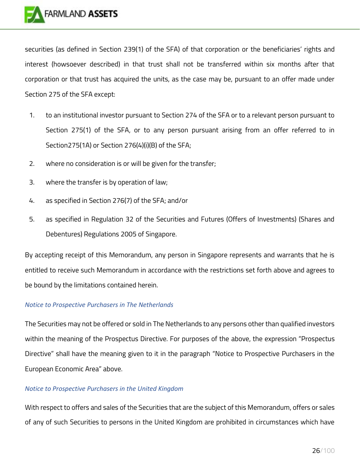

securities (as defined in Section 239(1) of the SFA) of that corporation or the beneficiaries' rights and interest (howsoever described) in that trust shall not be transferred within six months after that corporation or that trust has acquired the units, as the case may be, pursuant to an offer made under Section 275 of the SFA except:

- 1. to an institutional investor pursuant to Section 274 of the SFA or to a relevant person pursuant to Section 275(1) of the SFA, or to any person pursuant arising from an offer referred to in Section275(1A) or Section 276(4)(i)(B) of the SFA;
- 2. where no consideration is or will be given for the transfer;
- 3. where the transfer is by operation of law;
- 4. as specified in Section 276(7) of the SFA; and/or
- 5. as specified in Regulation 32 of the Securities and Futures (Offers of Investments) (Shares and Debentures) Regulations 2005 of Singapore.

By accepting receipt of this Memorandum, any person in Singapore represents and warrants that he is entitled to receive such Memorandum in accordance with the restrictions set forth above and agrees to be bound by the limitations contained herein.

#### <span id="page-25-0"></span>*Notice to Prospective Purchasers in The Netherlands*

The Securities may not be offered or sold in The Netherlands to any persons other than qualified investors within the meaning of the Prospectus Directive. For purposes of the above, the expression "Prospectus Directive" shall have the meaning given to it in the paragraph "Notice to Prospective Purchasers in the European Economic Area" above.

#### <span id="page-25-1"></span>*Notice to Prospective Purchasers in the United Kingdom*

With respect to offers and sales of the Securities that are the subject of this Memorandum, offers or sales of any of such Securities to persons in the United Kingdom are prohibited in circumstances which have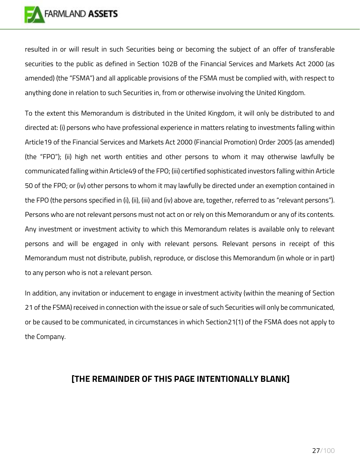

resulted in or will result in such Securities being or becoming the subject of an offer of transferable securities to the public as defined in Section 102B of the Financial Services and Markets Act 2000 (as amended) (the "FSMA") and all applicable provisions of the FSMA must be complied with, with respect to anything done in relation to such Securities in, from or otherwise involving the United Kingdom.

To the extent this Memorandum is distributed in the United Kingdom, it will only be distributed to and directed at: (i) persons who have professional experience in matters relating to investments falling within Article19 of the Financial Services and Markets Act 2000 (Financial Promotion) Order 2005 (as amended) (the "FPO"); (ii) high net worth entities and other persons to whom it may otherwise lawfully be communicated falling within Article49 of the FPO; (iii) certified sophisticated investors falling within Article 50 of the FPO; or (iv) other persons to whom it may lawfully be directed under an exemption contained in the FPO (the persons specified in (i), (ii), (iii) and (iv) above are, together, referred to as "relevant persons"). Persons who are not relevant persons must not act on or rely on this Memorandum or any of its contents. Any investment or investment activity to which this Memorandum relates is available only to relevant persons and will be engaged in only with relevant persons. Relevant persons in receipt of this Memorandum must not distribute, publish, reproduce, or disclose this Memorandum (in whole or in part) to any person who is not a relevant person.

In addition, any invitation or inducement to engage in investment activity (within the meaning of Section 21 of the FSMA) received in connection with the issue or sale of such Securities will only be communicated, or be caused to be communicated, in circumstances in which Section21(1) of the FSMA does not apply to the Company.

## **[THE REMAINDER OF THIS PAGE INTENTIONALLY BLANK]**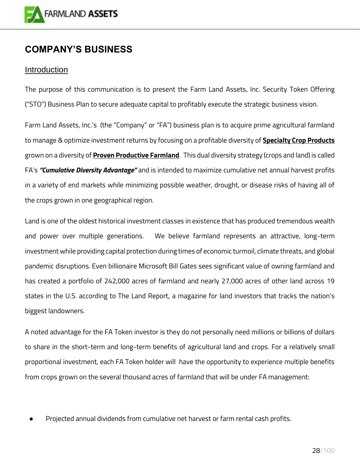

## <span id="page-27-0"></span>**COMPANY'S BUSINESS**

## <span id="page-27-1"></span>Introduction

The purpose of this communication is to present the Farm Land Assets, Inc. Security Token Offering ("STO") Business Plan to secure adequate capital to profitably execute the strategic business vision.

Farm Land Assets, Inc.'s (the "Company" or "FA") business plan is to acquire prime agricultural farmland to manage & optimize investment returns by focusing on a profitable diversity of **Specialty Crop Products** grown on a diversity of **Proven Productive Farmland**. This dual diversity strategy (crops and land) is called FA's *"Cumulative Diversity Advantage"* and is intended to maximize cumulative net annual harvest profits in a variety of end markets while minimizing possible weather, drought, or disease risks of having all of the crops grown in one geographical region.

Land is one of the oldest historical investment classes in existence that has produced tremendous wealth and power over multiple generations. We believe farmland represents an attractive, long-term investment while providing capital protection during times of economic turmoil, climate threats, and global pandemic disruptions. Even billionaire Microsoft Bill Gates sees significant value of owning farmland and has created a portfolio of 242,000 acres of farmland and nearly 27,000 acres of other land across 19 states in the U.S. according to The Land Report, a magazine for land investors that tracks the nation's biggest landowners.

A noted advantage for the FA Token investor is they do not personally need millions or billions of dollars to share in the short-term and long-term benefits of agricultural land and crops. For a relatively small proportional investment, each FA Token holder will have the opportunity to experience multiple benefits from crops grown on the several thousand acres of farmland that will be under FA management:

Projected annual dividends from cumulative net harvest or farm rental cash profits.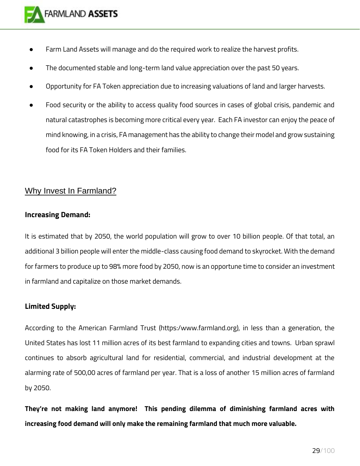- Farm Land Assets will manage and do the required work to realize the harvest profits.
- The documented stable and long-term land value appreciation over the past 50 years.
- Opportunity for FA Token appreciation due to increasing valuations of land and larger harvests.
- Food security or the ability to access quality food sources in cases of global crisis, pandemic and natural catastrophes is becoming more critical every year. Each FA investor can enjoy the peace of mind knowing, in a crisis, FA management has the ability to change their model and grow sustaining food for its FA Token Holders and their families.

## <span id="page-28-0"></span>Why Invest In Farmland?

## **Increasing Demand:**

It is estimated that by 2050, the world population will grow to over 10 billion people. Of that total, an additional 3 billion people will enter the middle-class causing food demand to skyrocket. With the demand for farmers to produce up to 98% more food by 2050, now is an opportune time to consider an investment in farmland and capitalize on those market demands.

## **Limited Supply:**

According to the American Farmland Trust (https:/www.farmland.org), in less than a generation, the United States has lost 11 million acres of its best farmland to expanding cities and towns. Urban sprawl continues to absorb agricultural land for residential, commercial, and industrial development at the alarming rate of 500,00 acres of farmland per year. That is a loss of another 15 million acres of farmland by 2050.

**They're not making land anymore! This pending dilemma of diminishing farmland acres with increasing food demand will only make the remaining farmland that much more valuable.**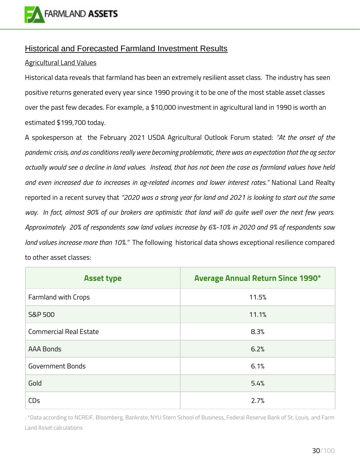

## <span id="page-29-0"></span>Historical and Forecasted Farmland Investment Results

## Agricultural Land Values

Historical data reveals that farmland has been an extremely resilient asset class. The industry has seen positive returns generated every year since 1990 proving it to be one of the most stable asset classes over the past few decades. For example, a \$10,000 investment in agricultural land in 1990 is worth an estimated \$199,700 today.

A spokesperson at the February 2021 USDA Agricultural Outlook Forum stated: *"At the onset of the pandemic crisis, and as conditions really were becoming problematic, there was an expectation that the ag sector actually would see a decline in land values. Instead, that has not been the case as farmland values have held and even increased due to increases in ag-related incomes and lower interest rates."* National Land Realty reported in a recent survey that *"2020 was a strong year for land and 2021 is looking to start out the same way. In fact, almost 90% of our brokers are optimistic that land will do quite well over the next few years. Approximately 20% of respondents saw land values increase by 6%-10% in 2020 and 9% of respondents saw land values increase more than 10%."* The following historical data shows exceptional resilience compared to other asset classes:

| <b>Asset type</b>             | <b>Average Annual Return Since 1990*</b> |
|-------------------------------|------------------------------------------|
| Farmland with Crops           | 11.5%                                    |
| <b>S&amp;P 500</b>            | 11.1%                                    |
| <b>Commercial Real Estate</b> | 8.3%                                     |
| <b>AAA Bonds</b>              | 6.2%                                     |
| <b>Government Bonds</b>       | 6.1%                                     |
| Gold                          | 5.4%                                     |
| <b>CD<sub>s</sub></b>         | 2.7%                                     |

. \*Data according to NCREIF, Bloomberg, Bankrate, NYU Stern School of Business, Federal Reserve Bank of St. Louis, and Farm Land Asset calculations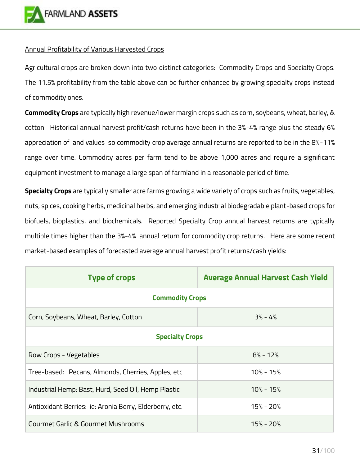

## Annual Profitability of Various Harvested Crops

Agricultural crops are broken down into two distinct categories: Commodity Crops and Specialty Crops. The 11.5% profitability from the table above can be further enhanced by growing specialty crops instead of commodity ones.

**Commodity Crops** are typically high revenue/lower margin crops such as corn, soybeans, wheat, barley, & cotton. Historical annual harvest profit/cash returns have been in the 3%-4% range plus the steady 6% appreciation of land values so commodity crop average annual returns are reported to be in the 8%-11% range over time. Commodity acres per farm tend to be above 1,000 acres and require a significant equipment investment to manage a large span of farmland in a reasonable period of time.

**Specialty Crops** are typically smaller acre farms growing a wide variety of crops such as fruits, vegetables, nuts, spices, cooking herbs, medicinal herbs, and emerging industrial biodegradable plant-based crops for biofuels, bioplastics, and biochemicals. Reported Specialty Crop annual harvest returns are typically multiple times higher than the 3%-4% annual return for commodity crop returns. Here are some recent market-based examples of forecasted average annual harvest profit returns/cash yields:

| <b>Type of crops</b>                                    | <b>Average Annual Harvest Cash Yield</b> |  |  |
|---------------------------------------------------------|------------------------------------------|--|--|
| <b>Commodity Crops</b>                                  |                                          |  |  |
| Corn, Soybeans, Wheat, Barley, Cotton                   | $3% - 4%$                                |  |  |
| <b>Specialty Crops</b>                                  |                                          |  |  |
| Row Crops - Vegetables                                  | $8% - 12%$                               |  |  |
| Tree-based: Pecans, Almonds, Cherries, Apples, etc      | $10\% - 15\%$                            |  |  |
| Industrial Hemp: Bast, Hurd, Seed Oil, Hemp Plastic     | $10\% - 15\%$                            |  |  |
| Antioxidant Berries: ie: Aronia Berry, Elderberry, etc. | $15% - 20%$                              |  |  |
| Gourmet Garlic & Gourmet Mushrooms                      | 15% - 20%                                |  |  |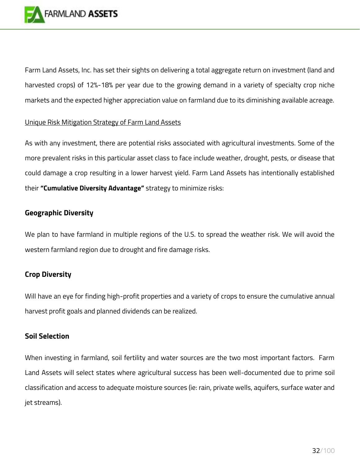

Farm Land Assets, Inc. has set their sights on delivering a total aggregate return on investment (land and harvested crops) of 12%-18% per year due to the growing demand in a variety of specialty crop niche markets and the expected higher appreciation value on farmland due to its diminishing available acreage.

## Unique Risk Mitigation Strategy of Farm Land Assets

As with any investment, there are potential risks associated with agricultural investments. Some of the more prevalent risks in this particular asset class to face include weather, drought, pests, or disease that could damage a crop resulting in a lower harvest yield. Farm Land Assets has intentionally established their **"Cumulative Diversity Advantage"** strategy to minimize risks:

## **Geographic Diversity**

We plan to have farmland in multiple regions of the U.S. to spread the weather risk. We will avoid the western farmland region due to drought and fire damage risks.

## **Crop Diversity**

Will have an eye for finding high-profit properties and a variety of crops to ensure the cumulative annual harvest profit goals and planned dividends can be realized.

## **Soil Selection**

When investing in farmland, soil fertility and water sources are the two most important factors. Farm Land Assets will select states where agricultural success has been well-documented due to prime soil classification and access to adequate moisture sources (ie: rain, private wells, aquifers, surface water and jet streams).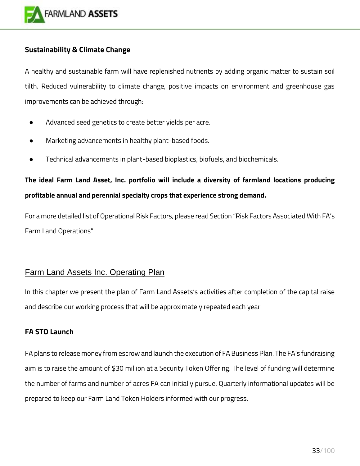

## **Sustainability & Climate Change**

A healthy and sustainable farm will have replenished nutrients by adding organic matter to sustain soil tilth. Reduced vulnerability to climate change, positive impacts on environment and greenhouse gas improvements can be achieved through:

- Advanced seed genetics to create better yields per acre.
- Marketing advancements in healthy plant-based foods.
- Technical advancements in plant-based bioplastics, biofuels, and biochemicals.

## **The ideal Farm Land Asset, Inc. portfolio will include a diversity of farmland locations producing profitable annual and perennial specialty crops that experience strong demand.**

For a more detailed list of Operational Risk Factors, please read Section "Risk Factors Associated With FA's Farm Land Operations"

## <span id="page-32-0"></span>Farm Land Assets Inc. Operating Plan

In this chapter we present the plan of Farm Land Assets's activities after completion of the capital raise and describe our working process that will be approximately repeated each year.

## **FA STO Launch**

FA plans to release money from escrow and launch the execution of FA Business Plan. The FA's fundraising aim is to raise the amount of \$30 million at a Security Token Offering. The level of funding will determine the number of farms and number of acres FA can initially pursue. Quarterly informational updates will be prepared to keep our Farm Land Token Holders informed with our progress.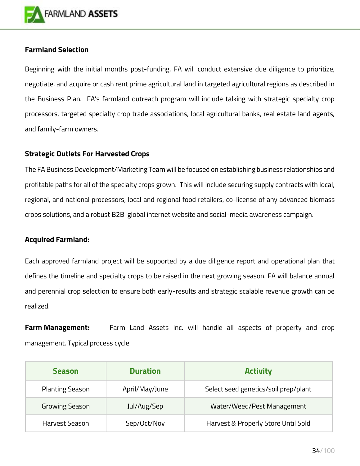

## **Farmland Selection**

Beginning with the initial months post-funding, FA will conduct extensive due diligence to prioritize, negotiate, and acquire or cash rent prime agricultural land in targeted agricultural regions as described in the Business Plan. FA's farmland outreach program will include talking with strategic specialty crop processors, targeted specialty crop trade associations, local agricultural banks, real estate land agents, and family-farm owners.

## **Strategic Outlets For Harvested Crops**

The FA Business Development/Marketing Team will be focused on establishing business relationships and profitable paths for all of the specialty crops grown. This will include securing supply contracts with local, regional, and national processors, local and regional food retailers, co-license of any advanced biomass crops solutions, and a robust B2B global internet website and social-media awareness campaign.

## **Acquired Farmland:**

Each approved farmland project will be supported by a due diligence report and operational plan that defines the timeline and specialty crops to be raised in the next growing season. FA will balance annual and perennial crop selection to ensure both early-results and strategic scalable revenue growth can be realized.

**Farm Management:** Farm Land Assets Inc. will handle all aspects of property and crop management. Typical process cycle:

| <b>Season</b>          | <b>Duration</b> | <b>Activity</b>                      |
|------------------------|-----------------|--------------------------------------|
| <b>Planting Season</b> | April/May/June  | Select seed genetics/soil prep/plant |
| <b>Growing Season</b>  | Jul/Aug/Sep     | Water/Weed/Pest Management           |
| Harvest Season         | Sep/Oct/Nov     | Harvest & Properly Store Until Sold  |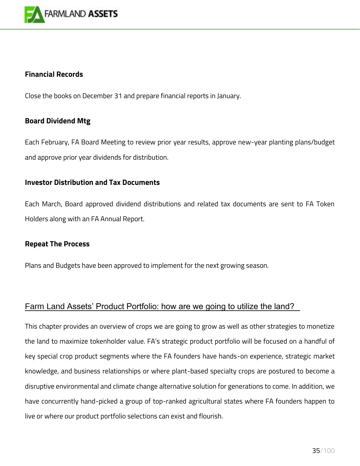

## **Financial Records**

Close the books on December 31 and prepare financial reports in January.

## **Board Dividend Mtg**

Each February, FA Board Meeting to review prior year results, approve new-year planting plans/budget and approve prior year dividends for distribution.

## **Investor Distribution and Tax Documents**

Each March, Board approved dividend distributions and related tax documents are sent to FA Token Holders along with an FA Annual Report.

## **Repeat The Process**

Plans and Budgets have been approved to implement for the next growing season.

## <span id="page-34-0"></span>Farm Land Assets' Product Portfolio: how are we going to utilize the land?

This chapter provides an overview of crops we are going to grow as well as other strategies to monetize the land to maximize tokenholder value. FA's strategic product portfolio will be focused on a handful of key special crop product segments where the FA founders have hands-on experience, strategic market knowledge, and business relationships or where plant-based specialty crops are postured to become a disruptive environmental and climate change alternative solution for generations to come. In addition, we have concurrently hand-picked a group of top-ranked agricultural states where FA founders happen to live or where our product portfolio selections can exist and flourish.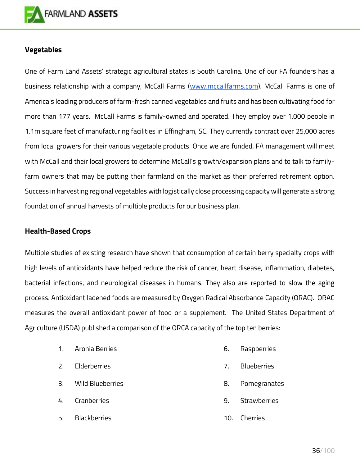

## **Vegetables**

One of Farm Land Assets' strategic agricultural states is South Carolina. One of our FA founders has a business relationship with a company, McCall Farms [\(www.mccallfarms.com\)](http://www.mccallfarms.com/). McCall Farms is one of America's leading producers of farm-fresh canned vegetables and fruits and has been cultivating food for more than 177 years. McCall Farms is family-owned and operated. They employ over 1,000 people in 1.1m square feet of manufacturing facilities in Effingham, SC. They currently contract over 25,000 acres from local growers for their various vegetable products. Once we are funded, FA management will meet with McCall and their local growers to determine McCall's growth/expansion plans and to talk to familyfarm owners that may be putting their farmland on the market as their preferred retirement option. Success in harvesting regional vegetables with logistically close processing capacity will generate a strong foundation of annual harvests of multiple products for our business plan.

## **Health-Based Crops**

Multiple studies of existing research have shown that consumption of certain berry specialty crops with high levels of antioxidants have helped reduce the risk of cancer, heart disease, inflammation, diabetes, bacterial infections, and neurological diseases in humans. They also are reported to slow the aging process. Antioxidant ladened foods are measured by Oxygen Radical Absorbance Capacity (ORAC). ORAC measures the overall antioxidant power of food or a supplement. The United States Department of Agriculture (USDA) published a comparison of the ORCA capacity of the top ten berries:

> 1. Aronia Berries 2. Elderberries 3. Wild Blueberries 4. Cranberries 5. Blackberries 6. Raspberries 7. Blueberries 8. Pomegranates 9. Strawberries 10. Cherries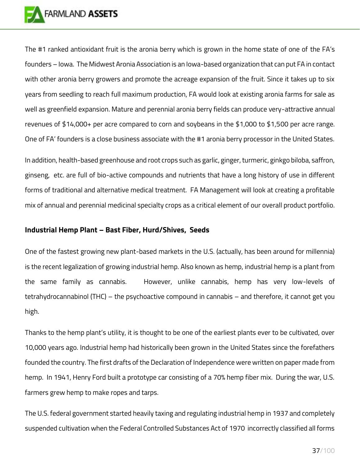

The #1 ranked antioxidant fruit is the aronia berry which is grown in the home state of one of the FA's founders – Iowa. The Midwest Aronia Association is an Iowa-based organization that can put FA in contact with other aronia berry growers and promote the acreage expansion of the fruit. Since it takes up to six years from seedling to reach full maximum production, FA would look at existing aronia farms for sale as well as greenfield expansion. Mature and perennial aronia berry fields can produce very-attractive annual revenues of \$14,000+ per acre compared to corn and soybeans in the \$1,000 to \$1,500 per acre range. One of FA' founders is a close business associate with the #1 aronia berry processor in the United States.

In addition, health-based greenhouse and root crops such as garlic, ginger, turmeric, ginkgo biloba, saffron, ginseng, etc. are full of bio-active compounds and nutrients that have a long history of use in different forms of traditional and alternative medical treatment. FA Management will look at creating a profitable mix of annual and perennial medicinal specialty crops as a critical element of our overall product portfolio.

#### **Industrial Hemp Plant – Bast Fiber, Hurd/Shives, Seeds**

One of the fastest growing new plant-based markets in the U.S. (actually, has been around for millennia) is the recent legalization of growing industrial hemp. Also known as hemp, industrial hemp is a plant from the same family as cannabis. However, unlike cannabis, hemp has very low-levels of tetrahydrocannabinol (THC) – the psychoactive compound in cannabis – and therefore, it cannot get you high.

Thanks to the hemp plant's utility, it is thought to be one of the earliest plants ever to be cultivated, over 10,000 years ago. Industrial hemp had historically been grown in the United States since the forefathers founded the country. The first drafts of the Declaration of Independence were written on paper made from hemp. In 1941, Henry Ford built a prototype car consisting of a 70% hemp fiber mix. During the war, U.S. farmers grew hemp to make ropes and tarps.

The U.S. federal government started heavily taxing and regulating industrial hemp in 1937 and completely suspended cultivation when the Federal Controlled Substances Act of 1970 incorrectly classified all forms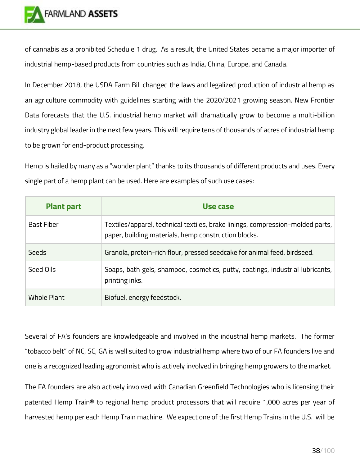

of cannabis as a prohibited Schedule 1 drug. As a result, the United States became a major importer of industrial hemp-based products from countries such as India, China, Europe, and Canada.

In December 2018, the USDA Farm Bill changed the laws and legalized production of industrial hemp as an agriculture commodity with guidelines starting with the 2020/2021 growing season. New Frontier Data forecasts that the U.S. industrial hemp market will dramatically grow to become a multi-billion industry global leader in the next few years. This will require tens of thousands of acres of industrial hemp to be grown for end-product processing.

Hemp is hailed by many as a "wonder plant" thanks to its thousands of different products and uses. Every single part of a hemp plant can be used. Here are examples of such use cases:

| <b>Plant part</b> | Use case                                                                                                                               |
|-------------------|----------------------------------------------------------------------------------------------------------------------------------------|
| <b>Bast Fiber</b> | Textiles/apparel, technical textiles, brake linings, compression-molded parts,<br>paper, building materials, hemp construction blocks. |
| Seeds             | Granola, protein-rich flour, pressed seedcake for animal feed, birdseed.                                                               |
| Seed Oils         | Soaps, bath gels, shampoo, cosmetics, putty, coatings, industrial lubricants,<br>printing inks.                                        |
| Whole Plant       | Biofuel, energy feedstock.                                                                                                             |

Several of FA's founders are knowledgeable and involved in the industrial hemp markets. The former "tobacco belt" of NC, SC, GA is well suited to grow industrial hemp where two of our FA founders live and one is a recognized leading agronomist who is actively involved in bringing hemp growers to the market.

The FA founders are also actively involved with Canadian Greenfield Technologies who is licensing their patented Hemp Train® to regional hemp product processors that will require 1,000 acres per year of harvested hemp per each Hemp Train machine. We expect one of the first Hemp Trains in the U.S. will be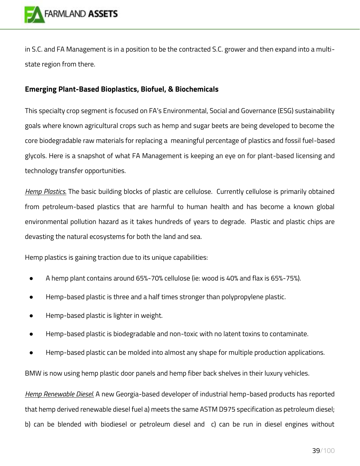

in S.C. and FA Management is in a position to be the contracted S.C. grower and then expand into a multistate region from there.

## **Emerging Plant-Based Bioplastics, Biofuel, & Biochemicals**

This specialty crop segment is focused on FA's Environmental, Social and Governance (ESG) sustainability goals where known agricultural crops such as hemp and sugar beets are being developed to become the core biodegradable raw materials for replacing a meaningful percentage of plastics and fossil fuel-based glycols. Here is a snapshot of what FA Management is keeping an eye on for plant-based licensing and technology transfer opportunities.

*Hemp Plastics.* The basic building blocks of plastic are cellulose. Currently cellulose is primarily obtained from petroleum-based plastics that are harmful to human health and has become a known global environmental pollution hazard as it takes hundreds of years to degrade. Plastic and plastic chips are devasting the natural ecosystems for both the land and sea.

Hemp plastics is gaining traction due to its unique capabilities:

- A hemp plant contains around 65%-70% cellulose (ie: wood is 40% and flax is 65%-75%).
- Hemp-based plastic is three and a half times stronger than polypropylene plastic.
- Hemp-based plastic is lighter in weight.
- Hemp-based plastic is biodegradable and non-toxic with no latent toxins to contaminate.
- Hemp-based plastic can be molded into almost any shape for multiple production applications.

BMW is now using hemp plastic door panels and hemp fiber back shelves in their luxury vehicles.

*Hemp Renewable Diesel.* A new Georgia-based developer of industrial hemp-based products has reported that hemp derived renewable diesel fuel a) meets the same ASTM D975 specification as petroleum diesel; b) can be blended with biodiesel or petroleum diesel and c) can be run in diesel engines without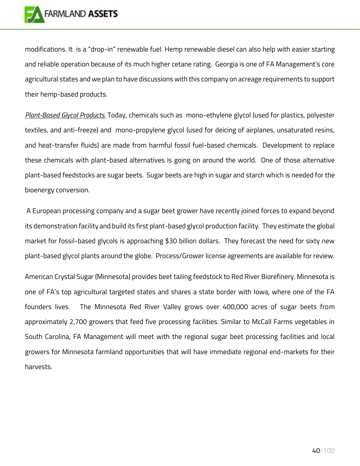

modifications. It is a "drop-in" renewable fuel. Hemp renewable diesel can also help with easier starting and reliable operation because of its much higher cetane rating. Georgia is one of FA Management's core agricultural states and we plan to have discussions with this company on acreage requirements to support their hemp-based products.

*Plant-Based Glycol Products.* Today, chemicals such as mono-ethylene glycol (used for plastics, polyester textiles, and anti-freeze) and mono-propylene glycol (used for deicing of airplanes, unsaturated resins, and heat-transfer fluids) are made from harmful fossil fuel-based chemicals. Development to replace these chemicals with plant-based alternatives is going on around the world. One of those alternative plant-based feedstocks are sugar beets. Sugar beets are high in sugar and starch which is needed for the bioenergy conversion.

A European processing company and a sugar beet grower have recently joined forces to expand beyond its demonstration facility and build its first plant-based glycol production facility. They estimate the global market for fossil-based glycols is approaching \$30 billion dollars. They forecast the need for sixty new plant-based glycol plants around the globe. Process/Grower license agreements are available for review.

American Crystal Sugar (Minnesota) provides beet tailing feedstock to Red River Biorefinery. Minnesota is one of FA's top agricultural targeted states and shares a state border with Iowa, where one of the FA founders lives. The Minnesota Red River Valley grows over 400,000 acres of sugar beets from approximately 2,700 growers that feed five processing facilities. Similar to McCall Farms vegetables in South Carolina, FA Management will meet with the regional sugar beet processing facilities and local growers for Minnesota farmland opportunities that will have immediate regional end-markets for their harvests.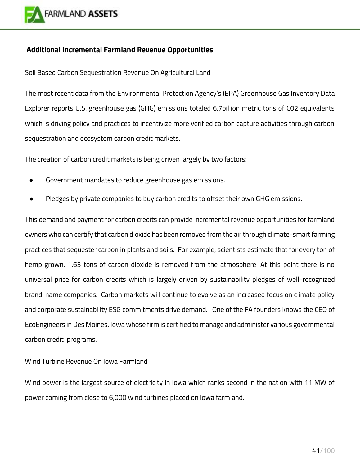

#### **Additional Incremental Farmland Revenue Opportunities**

#### Soil Based Carbon Sequestration Revenue On Agricultural Land

The most recent data from the Environmental Protection Agency's (EPA) Greenhouse Gas Inventory Data Explorer reports U.S. greenhouse gas (GHG) emissions totaled 6.7billion metric tons of C02 equivalents which is driving policy and practices to incentivize more verified carbon capture activities through carbon sequestration and ecosystem carbon credit markets.

The creation of carbon credit markets is being driven largely by two factors:

- Government mandates to reduce greenhouse gas emissions.
- Pledges by private companies to buy carbon credits to offset their own GHG emissions.

This demand and payment for carbon credits can provide incremental revenue opportunities for farmland owners who can certify that carbon dioxide has been removed from the air through climate-smart farming practices that sequester carbon in plants and soils. For example, scientists estimate that for every ton of hemp grown, 1.63 tons of carbon dioxide is removed from the atmosphere. At this point there is no universal price for carbon credits which is largely driven by sustainability pledges of well-recognized brand-name companies. Carbon markets will continue to evolve as an increased focus on climate policy and corporate sustainability ESG commitments drive demand. One of the FA founders knows the CEO of EcoEngineers in Des Moines, Iowa whose firm is certified to manage and administer various governmental carbon credit programs.

#### Wind Turbine Revenue On Iowa Farmland

Wind power is the largest source of electricity in Iowa which ranks second in the nation with 11 MW of power coming from close to 6,000 wind turbines placed on Iowa farmland.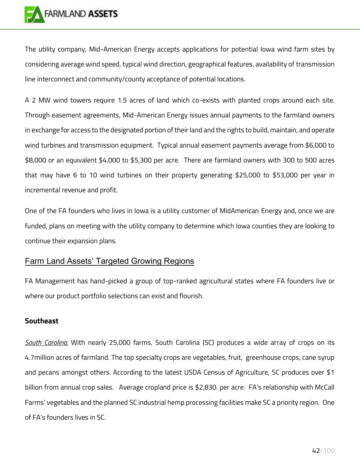

The utility company, Mid-American Energy accepts applications for potential Iowa wind farm sites by considering average wind speed, typical wind direction, geographical features, availability of transmission line interconnect and community/county acceptance of potential locations.

A 2 MW wind towers require 1.5 acres of land which co-exists with planted crops around each site. Through easement agreements, Mid-American Energy issues annual payments to the farmland owners in exchange for access to the designated portion of their land and the rights to build, maintain, and operate wind turbines and transmission equipment. Typical annual easement payments average from \$6,000 to \$8,000 or an equivalent \$4,000 to \$5,300 per acre. There are farmland owners with 300 to 500 acres that may have 6 to 10 wind turbines on their property generating \$25,000 to \$53,000 per year in incremental revenue and profit.

One of the FA founders who lives in Iowa is a utility customer of MidAmerican Energy and, once we are funded, plans on meeting with the utility company to determine which Iowa counties they are looking to continue their expansion plans.

### Farm Land Assets' Targeted Growing Regions

FA Management has hand-picked a group of top-ranked agricultural states where FA founders live or where our product portfolio selections can exist and flourish.

#### **Southeast**

*South Carolina.* With nearly 25,000 farms, South Carolina (SC) produces a wide array of crops on its 4.7million acres of farmland. The top specialty crops are vegetables, fruit, greenhouse crops, cane syrup and pecans amongst others. According to the latest USDA Census of Agriculture, SC produces over \$1 billion from annual crop sales. Average cropland price is \$2,830. per acre. FA's relationship with McCall Farms' vegetables and the planned SC industrial hemp processing facilities make SC a priority region. One of FA's founders lives in SC.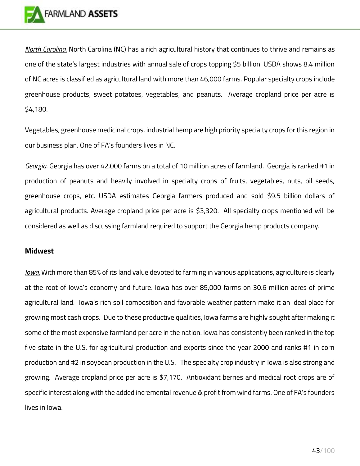

*North Carolina.* North Carolina (NC) has a rich agricultural history that continues to thrive and remains as one of the state's largest industries with annual sale of crops topping \$5 billion. USDA shows 8.4 million of NC acres is classified as agricultural land with more than 46,000 farms. Popular specialty crops include greenhouse products, sweet potatoes, vegetables, and peanuts. Average cropland price per acre is \$4,180.

Vegetables, greenhouse medicinal crops, industrial hemp are high priority specialty crops for this region in our business plan. One of FA's founders lives in NC.

*Georgia*. Georgia has over 42,000 farms on a total of 10 million acres of farmland. Georgia is ranked #1 in production of peanuts and heavily involved in specialty crops of fruits, vegetables, nuts, oil seeds, greenhouse crops, etc. USDA estimates Georgia farmers produced and sold \$9.5 billion dollars of agricultural products. Average cropland price per acre is \$3,320. All specialty crops mentioned will be considered as well as discussing farmland required to support the Georgia hemp products company.

#### **Midwest**

*Iowa.* With more than 85% of its land value devoted to farming in various applications, agriculture is clearly at the root of Iowa's economy and future. Iowa has over 85,000 farms on 30.6 million acres of prime agricultural land. Iowa's rich soil composition and favorable weather pattern make it an ideal place for growing most cash crops. Due to these productive qualities, Iowa farms are highly sought after making it some of the most expensive farmland per acre in the nation. Iowa has consistently been ranked in the top five state in the U.S. for agricultural production and exports since the year 2000 and ranks #1 in corn production and #2 in soybean production in the U.S. The specialty crop industry in Iowa is also strong and growing. Average cropland price per acre is \$7,170. Antioxidant berries and medical root crops are of specific interest along with the added incremental revenue & profit from wind farms. One of FA's founders lives in Iowa.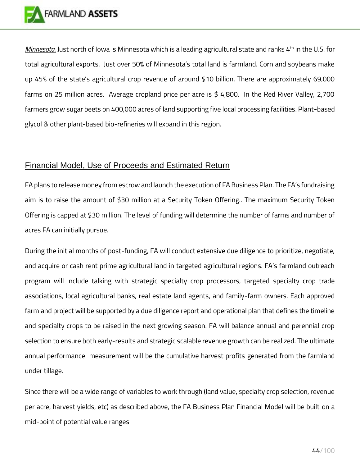

*Minnesota.* Just north of Iowa is Minnesota which is a leading agricultural state and ranks 4<sup>th</sup> in the U.S. for total agricultural exports. Just over 50% of Minnesota's total land is farmland. Corn and soybeans make up 45% of the state's agricultural crop revenue of around \$10 billion. There are approximately 69,000 farms on 25 million acres. Average cropland price per acre is \$ 4,800. In the Red River Valley, 2,700 farmers grow sugar beets on 400,000 acres of land supporting five local processing facilities. Plant-based glycol & other plant-based bio-refineries will expand in this region.

## Financial Model, Use of Proceeds and Estimated Return

FA plans to release money from escrow and launch the execution of FA Business Plan. The FA's fundraising aim is to raise the amount of \$30 million at a Security Token Offering.. The maximum Security Token Offering is capped at \$30 million. The level of funding will determine the number of farms and number of acres FA can initially pursue.

During the initial months of post-funding, FA will conduct extensive due diligence to prioritize, negotiate, and acquire or cash rent prime agricultural land in targeted agricultural regions. FA's farmland outreach program will include talking with strategic specialty crop processors, targeted specialty crop trade associations, local agricultural banks, real estate land agents, and family-farm owners. Each approved farmland project will be supported by a due diligence report and operational plan that defines the timeline and specialty crops to be raised in the next growing season. FA will balance annual and perennial crop selection to ensure both early-results and strategic scalable revenue growth can be realized. The ultimate annual performance measurement will be the cumulative harvest profits generated from the farmland under tillage.

Since there will be a wide range of variables to work through (land value, specialty crop selection, revenue per acre, harvest yields, etc) as described above, the FA Business Plan Financial Model will be built on a mid-point of potential value ranges.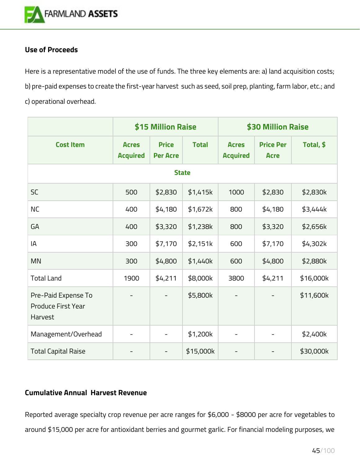

### **Use of Proceeds**

Here is a representative model of the use of funds. The three key elements are: a) land acquisition costs; b) pre-paid expenses to create the first-year harvest such as seed, soil prep, planting, farm labor, etc.; and c) operational overhead.

|                                                             | \$15 Million Raise              |                                 |              | \$30 Million Raise              |                                 |           |
|-------------------------------------------------------------|---------------------------------|---------------------------------|--------------|---------------------------------|---------------------------------|-----------|
| <b>Cost Item</b>                                            | <b>Acres</b><br><b>Acquired</b> | <b>Price</b><br><b>Per Acre</b> | <b>Total</b> | <b>Acres</b><br><b>Acquired</b> | <b>Price Per</b><br><b>Acre</b> | Total, \$ |
|                                                             |                                 | <b>State</b>                    |              |                                 |                                 |           |
| <b>SC</b>                                                   | 500                             | \$2,830                         | \$1,415k     | 1000                            | \$2,830                         | \$2,830k  |
| <b>NC</b>                                                   | 400                             | \$4,180                         | \$1,672k     | 800                             | \$4,180                         | \$3,444k  |
| GA                                                          | 400                             | \$3,320                         | \$1,238k     | 800                             | \$3,320                         | \$2,656k  |
| IA                                                          | 300                             | \$7,170                         | \$2,151k     | 600                             | \$7,170                         | \$4,302k  |
| <b>MN</b>                                                   | 300                             | \$4,800                         | \$1,440k     | 600                             | \$4,800                         | \$2,880k  |
| <b>Total Land</b>                                           | 1900                            | \$4,211                         | \$8,000k     | 3800                            | \$4,211                         | \$16,000k |
| Pre-Paid Expense To<br><b>Produce First Year</b><br>Harvest |                                 |                                 | \$5,800k     |                                 |                                 | \$11,600k |
| Management/Overhead                                         | -                               | $\overline{\phantom{a}}$        | \$1,200k     | -                               | -                               | \$2,400k  |
| <b>Total Capital Raise</b>                                  |                                 |                                 | \$15,000k    |                                 |                                 | \$30,000k |

## **Cumulative Annual Harvest Revenue**

Reported average specialty crop revenue per acre ranges for \$6,000 - \$8000 per acre for vegetables to around \$15,000 per acre for antioxidant berries and gourmet garlic. For financial modeling purposes, we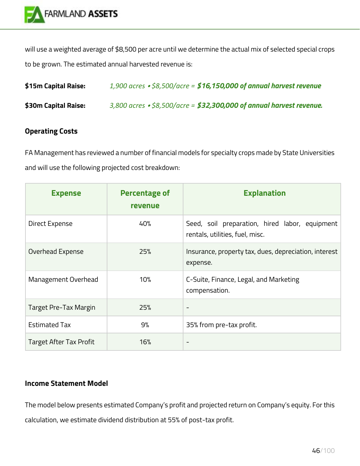

will use a weighted average of \$8,500 per acre until we determine the actual mix of selected special crops to be grown. The estimated annual harvested revenue is:

| \$15m Capital Raise: | 1,900 acres $\cdot$ \$8,500/acre = \$16,150,000 of annual harvest revenue    |
|----------------------|------------------------------------------------------------------------------|
| \$30m Capital Raise: | $3,800$ acres $\cdot$ \$8,500/acre = \$32,300,000 of annual harvest revenue. |

## **Operating Costs**

FA Management has reviewed a number of financial models for specialty crops made by State Universities and will use the following projected cost breakdown:

| <b>Expense</b>                 | <b>Percentage of</b><br><b>revenue</b> | <b>Explanation</b>                                                                |
|--------------------------------|----------------------------------------|-----------------------------------------------------------------------------------|
| Direct Expense                 | 40%                                    | Seed, soil preparation, hired labor, equipment<br>rentals, utilities, fuel, misc. |
| Overhead Expense               | 25%                                    | Insurance, property tax, dues, depreciation, interest<br>expense.                 |
| Management Overhead            | 10%                                    | C-Suite, Finance, Legal, and Marketing<br>compensation.                           |
| Target Pre-Tax Margin          | 25%                                    | $\overline{\phantom{a}}$                                                          |
| <b>Estimated Tax</b>           | 9%                                     | 35% from pre-tax profit.                                                          |
| <b>Target After Tax Profit</b> | 16%                                    | $\overline{\phantom{a}}$                                                          |

### **Income Statement Model**

The model below presents estimated Company's profit and projected return on Company's equity. For this calculation, we estimate dividend distribution at 55% of post-tax profit.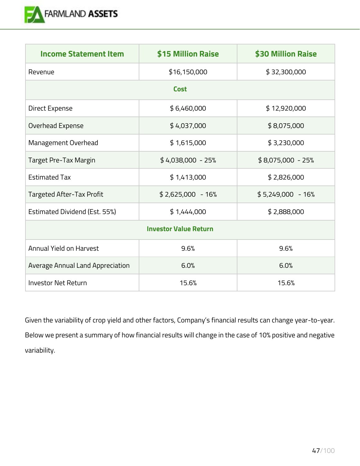

| <b>Income Statement Item</b>     | \$15 Million Raise | \$30 Million Raise |  |  |
|----------------------------------|--------------------|--------------------|--|--|
| Revenue                          | \$16,150,000       | \$32,300,000       |  |  |
|                                  | <b>Cost</b>        |                    |  |  |
| Direct Expense                   | \$6,460,000        | \$12,920,000       |  |  |
| Overhead Expense                 | \$4,037,000        | \$8,075,000        |  |  |
| Management Overhead              | \$1,615,000        | \$3,230,000        |  |  |
| Target Pre-Tax Margin            | $$4,038,000 - 25%$ | $$8,075,000 - 25%$ |  |  |
| <b>Estimated Tax</b>             | \$1,413,000        | \$2,826,000        |  |  |
| Targeted After-Tax Profit        | $$2,625,000 - 16%$ | $$5,249,000 - 16%$ |  |  |
| Estimated Dividend (Est. 55%)    | \$1,444,000        | \$2,888,000        |  |  |
| <b>Investor Value Return</b>     |                    |                    |  |  |
| <b>Annual Yield on Harvest</b>   | 9.6%               | 9.6%               |  |  |
| Average Annual Land Appreciation | 6.0%               | 6.0%               |  |  |
| <b>Investor Net Return</b>       | 15.6%              | 15.6%              |  |  |

Given the variability of crop yield and other factors, Company's financial results can change year-to-year. Below we present a summary of how financial results will change in the case of 10% positive and negative variability.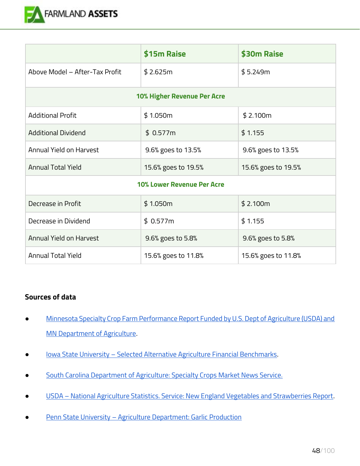

|                                   | \$15m Raise         | \$30m Raise         |  |
|-----------------------------------|---------------------|---------------------|--|
| Above Model - After-Tax Profit    | \$2.625m            | \$5.249m            |  |
| 10% Higher Revenue Per Acre       |                     |                     |  |
| <b>Additional Profit</b>          | \$1.050m            | \$2.100m            |  |
| <b>Additional Dividend</b>        | \$0.577m            | \$1.155             |  |
| Annual Yield on Harvest           | 9.6% goes to 13.5%  | 9.6% goes to 13.5%  |  |
| <b>Annual Total Yield</b>         | 15.6% goes to 19.5% | 15.6% goes to 19.5% |  |
| <b>10% Lower Revenue Per Acre</b> |                     |                     |  |
| Decrease in Profit                | \$1.050m            | \$2.100m            |  |
| Decrease in Dividend              | \$0.577m            | \$1.155             |  |
| Annual Yield on Harvest           | 9.6% goes to 5.8%   | 9.6% goes to 5.8%   |  |
| <b>Annual Total Yield</b>         | 15.6% goes to 11.8% | 15.6% goes to 11.8% |  |

### **Sources of data**

- [Minnesota Specialty Crop Farm Performance Report Funded by U.S. Dept of Agriculture \(USDA\) and](https://ageconsearch.umn.edu/record/293322/?ln=en)  [MN Department of Agriculture.](https://ageconsearch.umn.edu/record/293322/?ln=en)
- Iowa State University [Selected Alternative Agriculture Financial Benchmarks.](https://www.extension.iastate.edu/agdm/wholefarm/html/c3-65.html)
- [South Carolina Department of Agriculture: Specialty Crops Market News Service.](https://www.ams.usda.gov/market-news)
- USDA [National Agriculture Statistics. Service: New England Vegetables and Strawberries Report.](https://www.nass.usda.gov/Statistics_by_State/New_England_includes/Publications/Current_News_Release/2019/eos2019_vegetables.pdf)
- Penn State University [Agriculture Department: Garlic Production](https://extension.psu.edu/garlic-production)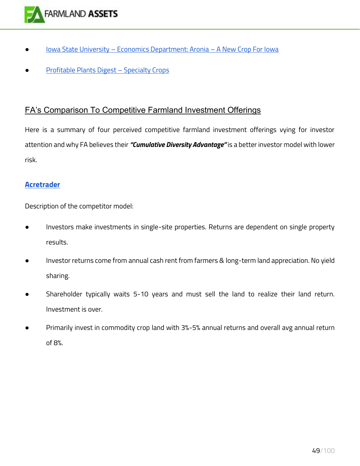

- Iowa State University [Economics Department: Aronia](https://www.extension.iastate.edu/news/2009/mar/110401.htm)  A New Crop For Iowa
- **[Profitable Plants Digest](https://www.profitableplantsdigest.com/)  Specialty Crops**

## FA's Comparison To Competitive Farmland Investment Offerings

Here is a summary of four perceived competitive farmland investment offerings vying for investor attention and why FA believes their *"Cumulative Diversity Advantage"* is a better investor model with lower risk.

#### **[Acretrader](https://www.acretrader.com/)**

Description of the competitor model:

- Investors make investments in single-site properties. Returns are dependent on single property results.
- Investor returns come from annual cash rent from farmers & long-term land appreciation. No yield sharing.
- Shareholder typically waits 5-10 years and must sell the land to realize their land return. Investment is over.
- Primarily invest in commodity crop land with 3%-5% annual returns and overall avg annual return of 8%.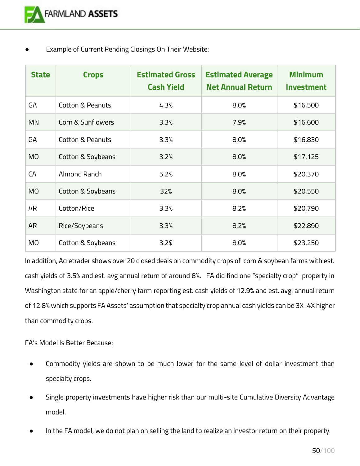Example of Current Pending Closings On Their Website:

| <b>State</b> | <b>Crops</b>      | <b>Estimated Gross</b><br><b>Cash Yield</b> | <b>Estimated Average</b><br><b>Net Annual Return</b> | <b>Minimum</b><br><b>Investment</b> |
|--------------|-------------------|---------------------------------------------|------------------------------------------------------|-------------------------------------|
| GA           | Cotton & Peanuts  | 4.3%                                        | 8.0%                                                 | \$16,500                            |
| <b>MN</b>    | Corn & Sunflowers | 3.3%                                        | 7.9%                                                 | \$16,600                            |
| GA           | Cotton & Peanuts  | 3.3%                                        | 8.0%                                                 | \$16,830                            |
| <b>MO</b>    | Cotton & Soybeans | 3.2%                                        | 8.0%                                                 | \$17,125                            |
| CA           | Almond Ranch      | 5.2%                                        | 8.0%                                                 | \$20,370                            |
| <b>MO</b>    | Cotton & Soybeans | 32%                                         | 8.0%                                                 | \$20,550                            |
| <b>AR</b>    | Cotton/Rice       | 3.3%                                        | 8.2%                                                 | \$20,790                            |
| <b>AR</b>    | Rice/Soybeans     | 3.3%                                        | 8.2%                                                 | \$22,890                            |
| MO           | Cotton & Soybeans | $3.2\frac{4}{9}$                            | 8.0%                                                 | \$23,250                            |

In addition, Acretrader shows over 20 closed deals on commodity crops of corn & soybean farms with est. cash yields of 3.5% and est. avg annual return of around 8%. FA did find one "specialty crop" property in Washington state for an apple/cherry farm reporting est. cash yields of 12.9% and est. avg. annual return of 12.8% which supports FA Assets' assumption that specialty crop annual cash yields can be 3X-4X higher than commodity crops.

### FA's Model Is Better Because:

- Commodity yields are shown to be much lower for the same level of dollar investment than specialty crops.
- Single property investments have higher risk than our multi-site Cumulative Diversity Advantage model.
- In the FA model, we do not plan on selling the land to realize an investor return on their property.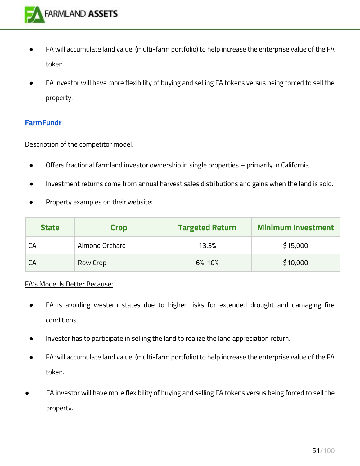

- FA will accumulate land value (multi-farm portfolio) to help increase the enterprise value of the FA token.
- FA investor will have more flexibility of buying and selling FA tokens versus being forced to sell the property.

#### **[FarmFundr](https://www.farmfundr.com/)**

Description of the competitor model:

- Offers fractional farmland investor ownership in single properties primarily in California.
- Investment returns come from annual harvest sales distributions and gains when the land is sold.
- Property examples on their website:

| <b>State</b> | <b>Crop</b>    | <b>Targeted Return</b> | <b>Minimum Investment</b> |
|--------------|----------------|------------------------|---------------------------|
| CА           | Almond Orchard | 13.3%                  | \$15,000                  |
| CA           | Row Crop       | $6% - 10%$             | \$10,000                  |

#### FA's Model Is Better Because:

- FA is avoiding western states due to higher risks for extended drought and damaging fire conditions.
- Investor has to participate in selling the land to realize the land appreciation return.
- FA will accumulate land value (multi-farm portfolio) to help increase the enterprise value of the FA token.
- FA investor will have more flexibility of buying and selling FA tokens versus being forced to sell the property.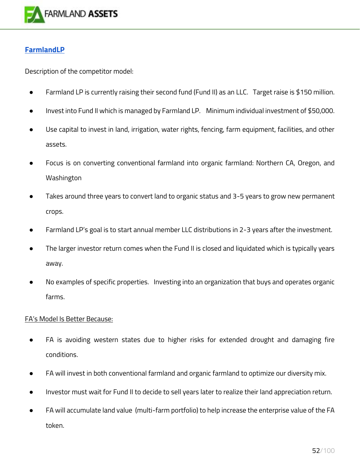

## **[FarmlandLP](https://www.farmlandlp.com/)**

Description of the competitor model:

- Farmland LP is currently raising their second fund (Fund II) as an LLC. Target raise is \$150 million.
- Invest into Fund II which is managed by Farmland LP. Minimum individual investment of \$50,000.
- Use capital to invest in land, irrigation, water rights, fencing, farm equipment, facilities, and other assets.
- Focus is on converting conventional farmland into organic farmland: Northern CA, Oregon, and Washington
- Takes around three years to convert land to organic status and 3-5 years to grow new permanent crops.
- Farmland LP's goal is to start annual member LLC distributions in 2-3 years after the investment.
- The larger investor return comes when the Fund II is closed and liquidated which is typically years away.
- No examples of specific properties. Investing into an organization that buys and operates organic farms.

### FA's Model Is Better Because:

- FA is avoiding western states due to higher risks for extended drought and damaging fire conditions.
- FA will invest in both conventional farmland and organic farmland to optimize our diversity mix.
- Investor must wait for Fund II to decide to sell years later to realize their land appreciation return.
- FA will accumulate land value (multi-farm portfolio) to help increase the enterprise value of the FA token.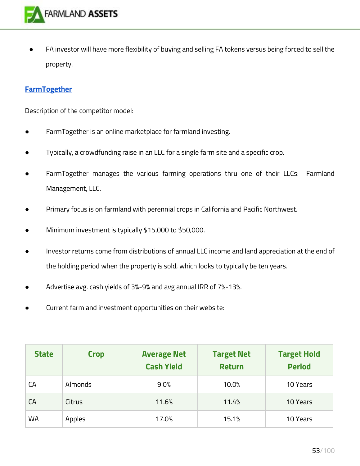

FA investor will have more flexibility of buying and selling FA tokens versus being forced to sell the property.

#### **[FarmTogether](https://farmtogether.com/)**

Description of the competitor model:

- FarmTogether is an online marketplace for farmland investing.
- Typically, a crowdfunding raise in an LLC for a single farm site and a specific crop.
- FarmTogether manages the various farming operations thru one of their LLCs: Farmland Management, LLC.
- Primary focus is on farmland with perennial crops in California and Pacific Northwest.
- Minimum investment is typically \$15,000 to \$50,000.
- Investor returns come from distributions of annual LLC income and land appreciation at the end of the holding period when the property is sold, which looks to typically be ten years.
- Advertise avg. cash yields of 3%-9% and avg annual IRR of 7%-13%.
- Current farmland investment opportunities on their website:

| <b>State</b> | <b>Crop</b>    | <b>Average Net</b><br><b>Cash Yield</b> | <b>Target Net</b><br><b>Return</b> | <b>Target Hold</b><br><b>Period</b> |
|--------------|----------------|-----------------------------------------|------------------------------------|-------------------------------------|
| CА           | <b>Almonds</b> | 9.0%                                    | 10.0%                              | 10 Years                            |
| СA           | Citrus         | 11.6%                                   | 11.4%                              | 10 Years                            |
| <b>WA</b>    | Apples         | 17.0%                                   | 15.1%                              | 10 Years                            |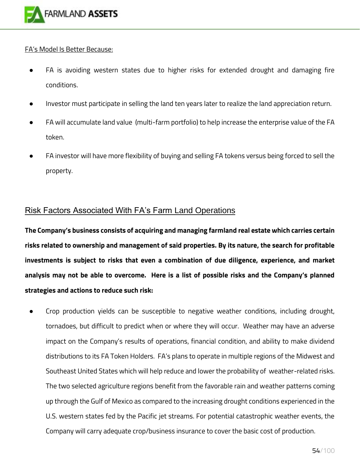

#### FA's Model Is Better Because:

- FA is avoiding western states due to higher risks for extended drought and damaging fire conditions.
- Investor must participate in selling the land ten years later to realize the land appreciation return.
- FA will accumulate land value (multi-farm portfolio) to help increase the enterprise value of the FA token.
- FA investor will have more flexibility of buying and selling FA tokens versus being forced to sell the property.

## Risk Factors Associated With FA's Farm Land Operations

**The Company's business consists of acquiring and managing farmland real estate which carries certain risks related to ownership and management of said properties. By its nature, the search for profitable investments is subject to risks that even a combination of due diligence, experience, and market analysis may not be able to overcome. Here is a list of possible risks and the Company's planned strategies and actions to reduce such risk:** 

Crop production yields can be susceptible to negative weather conditions, including drought, tornadoes, but difficult to predict when or where they will occur. Weather may have an adverse impact on the Company's results of operations, financial condition, and ability to make dividend distributions to its FA Token Holders. FA's plans to operate in multiple regions of the Midwest and Southeast United States which will help reduce and lower the probability of weather-related risks. The two selected agriculture regions benefit from the favorable rain and weather patterns coming up through the Gulf of Mexico as compared to the increasing drought conditions experienced in the U.S. western states fed by the Pacific jet streams. For potential catastrophic weather events, the Company will carry adequate crop/business insurance to cover the basic cost of production.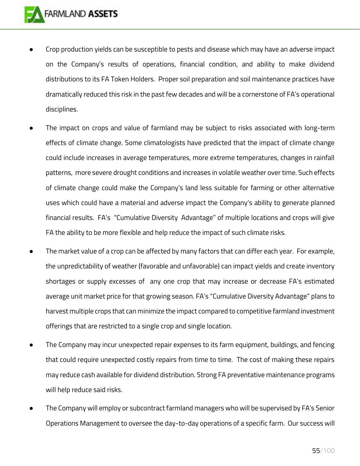- Crop production yields can be susceptible to pests and disease which may have an adverse impact on the Company's results of operations, financial condition, and ability to make dividend distributions to its FA Token Holders. Proper soil preparation and soil maintenance practices have dramatically reduced this risk in the past few decades and will be a cornerstone of FA's operational disciplines.
- The impact on crops and value of farmland may be subject to risks associated with long-term effects of climate change. Some climatologists have predicted that the impact of climate change could include increases in average temperatures, more extreme temperatures, changes in rainfall patterns, more severe drought conditions and increases in volatile weather over time. Such effects of climate change could make the Company's land less suitable for farming or other alternative uses which could have a material and adverse impact the Company's ability to generate planned financial results. FA's "Cumulative Diversity Advantage" of multiple locations and crops will give FA the ability to be more flexible and help reduce the impact of such climate risks.
- The market value of a crop can be affected by many factors that can differ each year. For example, the unpredictability of weather (favorable and unfavorable) can impact yields and create inventory shortages or supply excesses of any one crop that may increase or decrease FA's estimated average unit market price for that growing season. FA's "Cumulative Diversity Advantage" plans to harvest multiple crops that can minimize the impact compared to competitive farmland investment offerings that are restricted to a single crop and single location.
- The Company may incur unexpected repair expenses to its farm equipment, buildings, and fencing that could require unexpected costly repairs from time to time. The cost of making these repairs may reduce cash available for dividend distribution. Strong FA preventative maintenance programs will help reduce said risks.
- The Company will employ or subcontract farmland managers who will be supervised by FA's Senior Operations Management to oversee the day-to-day operations of a specific farm. Our success will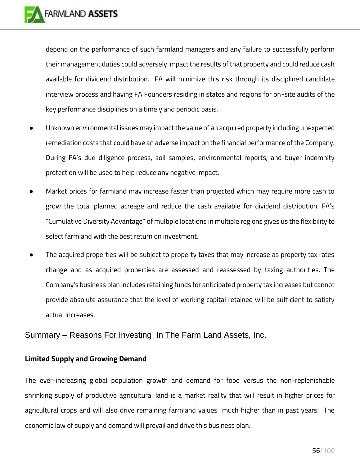depend on the performance of such farmland managers and any failure to successfully perform their management duties could adversely impact the results of that property and could reduce cash available for dividend distribution. FA will minimize this risk through its disciplined candidate interview process and having FA Founders residing in states and regions for on-site audits of the key performance disciplines on a timely and periodic basis.

- Unknown environmental issues may impact the value of an acquired property including unexpected remediation costs that could have an adverse impact on the financial performance of the Company. During FA's due diligence process, soil samples, environmental reports, and buyer indemnity protection will be used to help reduce any negative impact.
- Market prices for farmland may increase faster than projected which may require more cash to grow the total planned acreage and reduce the cash available for dividend distribution. FA's "Cumulative Diversity Advantage" of multiple locations in multiple regions gives us the flexibility to select farmland with the best return on investment.
- The acquired properties will be subject to property taxes that may increase as property tax rates change and as acquired properties are assessed and reassessed by taxing authorities. The Company's business plan includes retaining funds for anticipated property tax increases but cannot provide absolute assurance that the level of working capital retained will be sufficient to satisfy actual increases.

## Summary – Reasons For Investing In The Farm Land Assets, Inc.

## **Limited Supply and Growing Demand**

The ever-increasing global population growth and demand for food versus the non-replenishable shrinking supply of productive agricultural land is a market reality that will result in higher prices for agricultural crops and will also drive remaining farmland values much higher than in past years. The economic law of supply and demand will prevail and drive this business plan.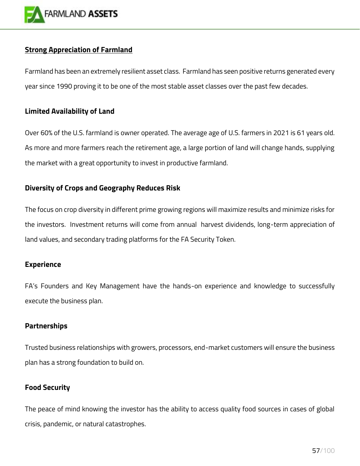

### **Strong Appreciation of Farmland**

Farmland has been an extremely resilient asset class. Farmland has seen positive returns generated every year since 1990 proving it to be one of the most stable asset classes over the past few decades.

### **Limited Availability of Land**

Over 60% of the U.S. farmland is owner operated. The average age of U.S. farmers in 2021 is 61 years old. As more and more farmers reach the retirement age, a large portion of land will change hands, supplying the market with a great opportunity to invest in productive farmland.

### **Diversity of Crops and Geography Reduces Risk**

The focus on crop diversity in different prime growing regions will maximize results and minimize risks for the investors. Investment returns will come from annual harvest dividends, long-term appreciation of land values, and secondary trading platforms for the FA Security Token.

#### **Experience**

FA's Founders and Key Management have the hands-on experience and knowledge to successfully execute the business plan.

#### **Partnerships**

Trusted business relationships with growers, processors, end-market customers will ensure the business plan has a strong foundation to build on.

#### **Food Security**

The peace of mind knowing the investor has the ability to access quality food sources in cases of global crisis, pandemic, or natural catastrophes.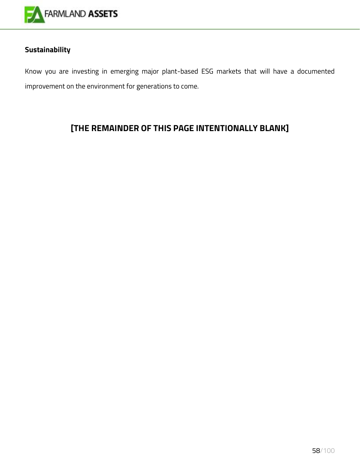

## **Sustainability**

Know you are investing in emerging major plant-based ESG markets that will have a documented improvement on the environment for generations to come.

## **[THE REMAINDER OF THIS PAGE INTENTIONALLY BLANK]**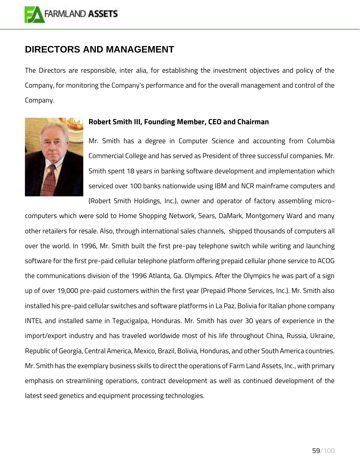

## **DIRECTORS AND MANAGEMENT**

The Directors are responsible, inter alia, for establishing the investment objectives and policy of the Company, for monitoring the Company's performance and for the overall management and control of the Company.



#### **Robert Smith III, Founding Member, CEO and Chairman**

Mr. Smith has a degree in Computer Science and accounting from Columbia Commercial College and has served as President of three successful companies. Mr. Smith spent 18 years in banking software development and implementation which serviced over 100 banks nationwide using IBM and NCR mainframe computers and (Robert Smith Holdings, Inc.), owner and operator of factory assembling micro-

computers which were sold to Home Shopping Network, Sears, DaMark, Montgomery Ward and many other retailers for resale. Also, through international sales channels, shipped thousands of computers all over the world. In 1996, Mr. Smith built the first pre-pay telephone switch while writing and launching software for the first pre-paid cellular telephone platform offering prepaid cellular phone service to ACOG the communications division of the 1996 Atlanta, Ga. Olympics. After the Olympics he was part of a sign up of over 19,000 pre-paid customers within the first year (Prepaid Phone Services, Inc.). Mr. Smith also installed his pre-paid cellular switches and software platforms in La Paz, Bolivia for Italian phone company INTEL and installed same in Tegucigalpa, Honduras. Mr. Smith has over 30 years of experience in the import/export industry and has traveled worldwide most of his life throughout China, Russia, Ukraine, Republic of Georgia, Central America, Mexico, Brazil, Bolivia, Honduras, and other South America countries. Mr. Smith has the exemplary business skills to direct the operations of Farm Land Assets, Inc., with primary emphasis on streamlining operations, contract development as well as continued development of the latest seed genetics and equipment processing technologies.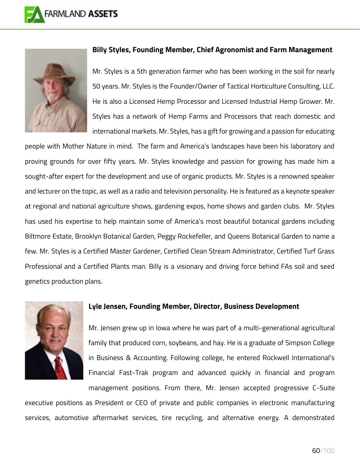



#### **Billy Styles, Founding Member, Chief Agronomist and Farm Management**

Mr. Styles is a 5th generation farmer who has been working in the soil for nearly 50 years. Mr. Styles is the Founder/Owner of Tactical Horticulture Consulting, LLC. He is also a Licensed Hemp Processor and Licensed Industrial Hemp Grower. Mr. Styles has a network of Hemp Farms and Processors that reach domestic and international markets. Mr. Styles, has a gift for growing and a passion for educating

people with Mother Nature in mind. The farm and America's landscapes have been his laboratory and proving grounds for over fifty years. Mr. Styles knowledge and passion for growing has made him a sought-after expert for the development and use of organic products. Mr. Styles is a renowned speaker and lecturer on the topic, as well as a radio and television personality. He is featured as a keynote speaker at regional and national agriculture shows, gardening expos, home shows and garden clubs. Mr. Styles has used his expertise to help maintain some of America's most beautiful botanical gardens including Biltmore Estate, Brooklyn Botanical Garden, Peggy Rockefeller, and Queens Botanical Garden to name a few. Mr. Styles is a Certified Master Gardener, Certified Clean Stream Administrator, Certified Turf Grass Professional and a Certified Plants man. Billy is a visionary and driving force behind FAs soil and seed genetics production plans.



#### **Lyle Jensen, Founding Member, Director, Business Development**

Mr. Jensen grew up in Iowa where he was part of a multi-generational agricultural family that produced corn, soybeans, and hay. He is a graduate of Simpson College in Business & Accounting. Following college, he entered Rockwell International's Financial Fast-Trak program and advanced quickly in financial and program

management positions. From there, Mr. Jensen accepted progressive C-Suite

executive positions as President or CEO of private and public companies in electronic manufacturing services, automotive aftermarket services, tire recycling, and alternative energy. A demonstrated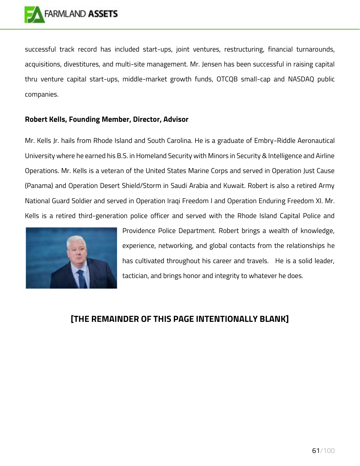successful track record has included start-ups, joint ventures, restructuring, financial turnarounds, acquisitions, divestitures, and multi-site management. Mr. Jensen has been successful in raising capital thru venture capital start-ups, middle-market growth funds, OTCQB small-cap and NASDAQ public companies.

## **Robert Kells, Founding Member, Director, Advisor**

Mr. Kells Jr. hails from Rhode Island and South Carolina. He is a graduate of Embry-Riddle Aeronautical University where he earned his B.S. in Homeland Security with Minors in Security & Intelligence and Airline Operations. Mr. Kells is a veteran of the United States Marine Corps and served in Operation Just Cause (Panama) and Operation Desert Shield/Storm in Saudi Arabia and Kuwait. Robert is also a retired Army National Guard Soldier and served in Operation Iraqi Freedom I and Operation Enduring Freedom XI. Mr. Kells is a retired third-generation police officer and served with the Rhode Island Capital Police and



Providence Police Department. Robert brings a wealth of knowledge, experience, networking, and global contacts from the relationships he has cultivated throughout his career and travels. He is a solid leader, tactician, and brings honor and integrity to whatever he does.

## **[THE REMAINDER OF THIS PAGE INTENTIONALLY BLANK]**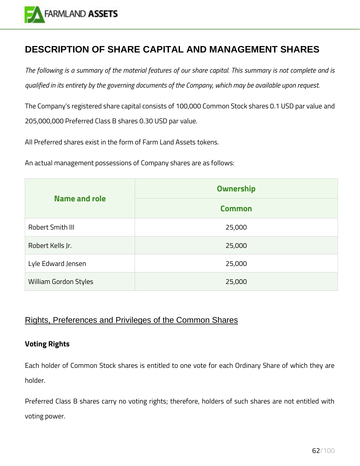

## **DESCRIPTION OF SHARE CAPITAL AND MANAGEMENT SHARES**

*The following is a summary of the material features of our share capital. This summary is not complete and is qualified in its entirety by the governing documents of the Company, which may be available upon request.*

The Company's registered share capital consists of 100,000 Common Stock shares 0.1 USD par value and 205,000,000 Preferred Class B shares 0.30 USD par value.

All Preferred shares exist in the form of Farm Land Assets tokens.

An actual management possessions of Company shares are as follows:

|                              | <b>Ownership</b> |
|------------------------------|------------------|
| <b>Name and role</b>         | <b>Common</b>    |
| Robert Smith III             | 25,000           |
| Robert Kells Jr.             | 25,000           |
| Lyle Edward Jensen           | 25,000           |
| <b>William Gordon Styles</b> | 25,000           |

## Rights, Preferences and Privileges of the Common Shares

### **Voting Rights**

Each holder of Common Stock shares is entitled to one vote for each Ordinary Share of which they are holder.

Preferred Class B shares carry no voting rights; therefore, holders of such shares are not entitled with voting power.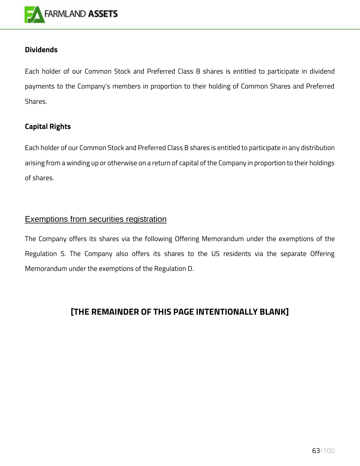

### **Dividends**

Each holder of our Common Stock and Preferred Class B shares is entitled to participate in dividend payments to the Company's members in proportion to their holding of Common Shares and Preferred Shares.

### **Capital Rights**

Each holder of our Common Stock and Preferred Class B shares is entitled to participate in any distribution arising from a winding up or otherwise on a return of capital of the Company in proportion to their holdings of shares.

## Exemptions from securities registration

The Company offers its shares via the following Offering Memorandum under the exemptions of the Regulation S. The Company also offers its shares to the US residents via the separate Offering Memorandum under the exemptions of the Regulation D.

## **[THE REMAINDER OF THIS PAGE INTENTIONALLY BLANK]**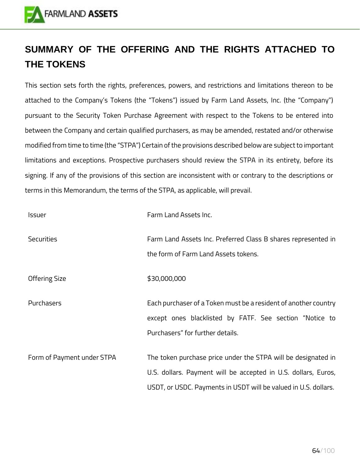

# **SUMMARY OF THE OFFERING AND THE RIGHTS ATTACHED TO THE TOKENS**

This section sets forth the rights, preferences, powers, and restrictions and limitations thereon to be attached to the Company's Tokens (the "Tokens") issued by Farm Land Assets, Inc. (the "Company") pursuant to the Security Token Purchase Agreement with respect to the Tokens to be entered into between the Company and certain qualified purchasers, as may be amended, restated and/or otherwise modified from time to time (the "STPA") Certain of the provisions described below are subject to important limitations and exceptions. Prospective purchasers should review the STPA in its entirety, before its signing. If any of the provisions of this section are inconsistent with or contrary to the descriptions or terms in this Memorandum, the terms of the STPA, as applicable, will prevail.

| <b>Issuer</b>              | Farm Land Assets Inc.                                                                                                                                                                              |
|----------------------------|----------------------------------------------------------------------------------------------------------------------------------------------------------------------------------------------------|
| <b>Securities</b>          | Farm Land Assets Inc. Preferred Class B shares represented in<br>the form of Farm Land Assets tokens.                                                                                              |
| <b>Offering Size</b>       | \$30,000,000                                                                                                                                                                                       |
| Purchasers                 | Each purchaser of a Token must be a resident of another country<br>except ones blacklisted by FATF. See section "Notice to<br>Purchasers" for further details.                                     |
| Form of Payment under STPA | The token purchase price under the STPA will be designated in<br>U.S. dollars. Payment will be accepted in U.S. dollars, Euros,<br>USDT, or USDC. Payments in USDT will be valued in U.S. dollars. |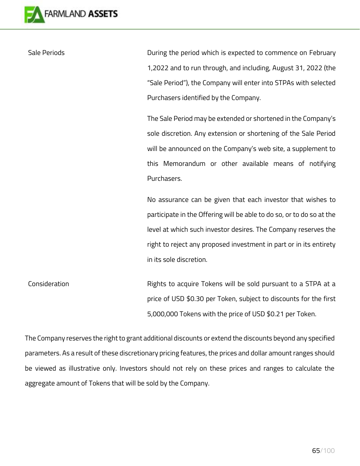

Sale Periods **During the period which is expected to commence on February** 1,2022 and to run through, and including, August 31, 2022 (the "Sale Period"), the Company will enter into STPAs with selected Purchasers identified by the Company.

> The Sale Period may be extended or shortened in the Company's sole discretion. Any extension or shortening of the Sale Period will be announced on the Company's web site, a supplement to this Memorandum or other available means of notifying Purchasers.

> No assurance can be given that each investor that wishes to participate in the Offering will be able to do so, or to do so at the level at which such investor desires. The Company reserves the right to reject any proposed investment in part or in its entirety in its sole discretion.

Consideration **Rights to acquire Tokens will be sold pursuant to a STPA at a** price of USD \$0.30 per Token, subject to discounts for the first 5,000,000 Tokens with the price of USD \$0.21 per Token.

The Company reserves the right to grant additional discounts or extend the discounts beyond any specified parameters. As a result of these discretionary pricing features, the prices and dollar amount ranges should be viewed as illustrative only. Investors should not rely on these prices and ranges to calculate the aggregate amount of Tokens that will be sold by the Company.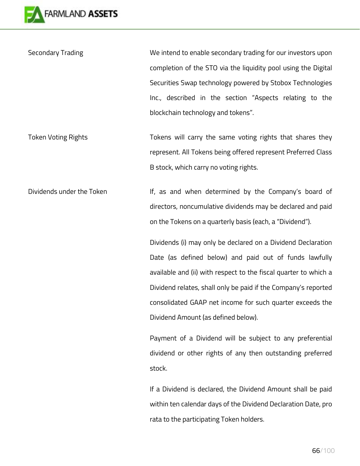

Secondary Trading Secondary Trading Secondary trading for our investors upon completion of the STO via the liquidity pool using the Digital Securities Swap technology powered by Stobox Technologies Inc., described in the section "Aspects relating to the blockchain technology and tokens".

Token Voting Rights Tokens will carry the same voting rights that shares they represent. All Tokens being offered represent Preferred Class B stock, which carry no voting rights.

Dividends under the Token If, as and when determined by the Company's board of directors, noncumulative dividends may be declared and paid on the Tokens on a quarterly basis (each, a "Dividend").

> Dividends (i) may only be declared on a Dividend Declaration Date (as defined below) and paid out of funds lawfully available and (ii) with respect to the fiscal quarter to which a Dividend relates, shall only be paid if the Company's reported consolidated GAAP net income for such quarter exceeds the Dividend Amount (as defined below).

> Payment of a Dividend will be subject to any preferential dividend or other rights of any then outstanding preferred stock.

> If a Dividend is declared, the Dividend Amount shall be paid within ten calendar days of the Dividend Declaration Date, pro rata to the participating Token holders.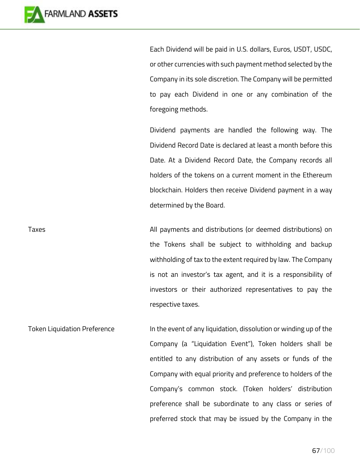

Each Dividend will be paid in U.S. dollars, Euros, USDT, USDC, or other currencies with such payment method selected by the Company in its sole discretion. The Company will be permitted to pay each Dividend in one or any combination of the foregoing methods.

Dividend payments are handled the following way. The Dividend Record Date is declared at least a month before this Date. At a Dividend Record Date, the Company records all holders of the tokens on a current moment in the Ethereum blockchain. Holders then receive Dividend payment in a way determined by the Board.

Taxes All payments and distributions (or deemed distributions) on the Tokens shall be subject to withholding and backup withholding of tax to the extent required by law. The Company is not an investor's tax agent, and it is a responsibility of investors or their authorized representatives to pay the respective taxes.

Token Liquidation Preference In the event of any liquidation, dissolution or winding up of the Company (a "Liquidation Event"), Token holders shall be entitled to any distribution of any assets or funds of the Company with equal priority and preference to holders of the Company's common stock. (Token holders' distribution preference shall be subordinate to any class or series of preferred stock that may be issued by the Company in the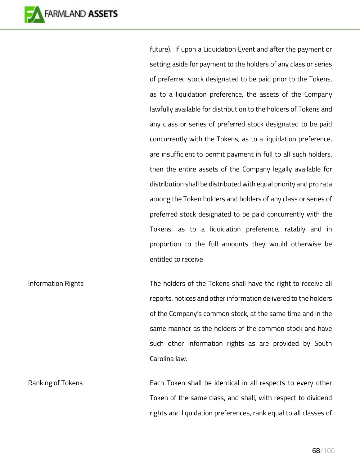

future). If upon a Liquidation Event and after the payment or setting aside for payment to the holders of any class or series of preferred stock designated to be paid prior to the Tokens, as to a liquidation preference, the assets of the Company lawfully available for distribution to the holders of Tokens and any class or series of preferred stock designated to be paid concurrently with the Tokens, as to a liquidation preference, are insufficient to permit payment in full to all such holders, then the entire assets of the Company legally available for distribution shall be distributed with equal priority and pro rata among the Token holders and holders of any class or series of preferred stock designated to be paid concurrently with the Tokens, as to a liquidation preference, ratably and in proportion to the full amounts they would otherwise be entitled to receive

Information Rights The holders of the Tokens shall have the right to receive all reports, notices and other information delivered to the holders of the Company's common stock, at the same time and in the same manner as the holders of the common stock and have such other information rights as are provided by South Carolina law.

Ranking of Tokens **Each Token shall be identical in all respects to every other** Token of the same class, and shall, with respect to dividend rights and liquidation preferences, rank equal to all classes of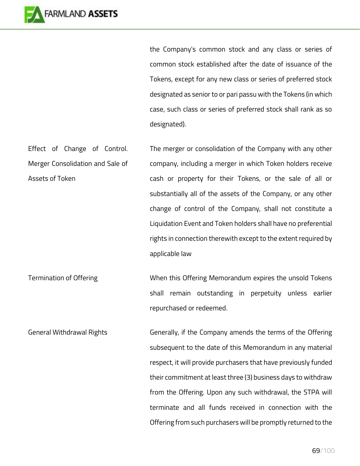

the Company's common stock and any class or series of common stock established after the date of issuance of the Tokens, except for any new class or series of preferred stock designated as senior to or pari passu with the Tokens (in which case, such class or series of preferred stock shall rank as so designated).

Effect of Change of Control. Merger Consolidation and Sale of Assets of Token The merger or consolidation of the Company with any other company, including a merger in which Token holders receive cash or property for their Tokens, or the sale of all or substantially all of the assets of the Company, or any other change of control of the Company, shall not constitute a Liquidation Event and Token holders shall have no preferential rights in connection therewith except to the extent required by applicable law

Termination of Offering The Summan When this Offering Memorandum expires the unsold Tokens shall remain outstanding in perpetuity unless earlier repurchased or redeemed.

General Withdrawal Rights Generally, if the Company amends the terms of the Offering subsequent to the date of this Memorandum in any material respect, it will provide purchasers that have previously funded their commitment at least three (3) business days to withdraw from the Offering. Upon any such withdrawal, the STPA will terminate and all funds received in connection with the Offering from such purchasers will be promptly returned to the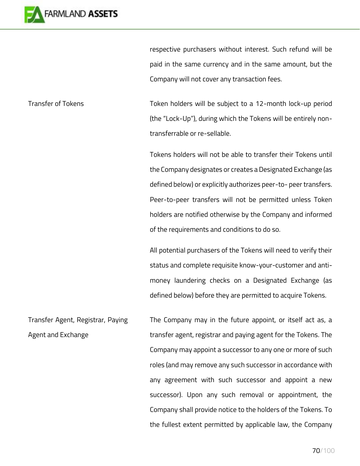

respective purchasers without interest. Such refund will be paid in the same currency and in the same amount, but the Company will not cover any transaction fees.

Transfer of Tokens Token holders will be subject to a 12-month lock-up period (the "Lock-Up"), during which the Tokens will be entirely nontransferrable or re-sellable.

> Tokens holders will not be able to transfer their Tokens until the Company designates or creates a Designated Exchange (as defined below) or explicitly authorizes peer-to- peer transfers. Peer-to-peer transfers will not be permitted unless Token holders are notified otherwise by the Company and informed of the requirements and conditions to do so.

> All potential purchasers of the Tokens will need to verify their status and complete requisite know-your-customer and antimoney laundering checks on a Designated Exchange (as defined below) before they are permitted to acquire Tokens.

Transfer Agent, Registrar, Paying Agent and Exchange The Company may in the future appoint, or itself act as, a transfer agent, registrar and paying agent for the Tokens. The Company may appoint a successor to any one or more of such roles (and may remove any such successor in accordance with any agreement with such successor and appoint a new successor). Upon any such removal or appointment, the Company shall provide notice to the holders of the Tokens. To the fullest extent permitted by applicable law, the Company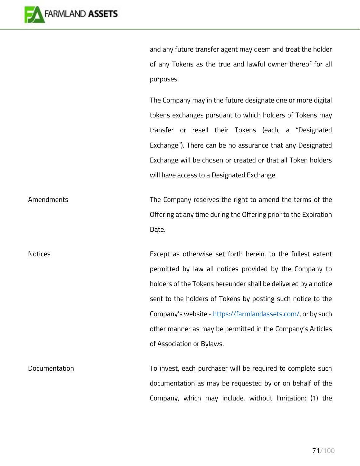

and any future transfer agent may deem and treat the holder of any Tokens as the true and lawful owner thereof for all purposes.

The Company may in the future designate one or more digital tokens exchanges pursuant to which holders of Tokens may transfer or resell their Tokens (each, a "Designated Exchange"). There can be no assurance that any Designated Exchange will be chosen or created or that all Token holders will have access to a Designated Exchange.

Amendments The Company reserves the right to amend the terms of the Offering at any time during the Offering prior to the Expiration Date.

Notices **Except as otherwise set forth herein, to the fullest extent** permitted by law all notices provided by the Company to holders of the Tokens hereunder shall be delivered by a notice sent to the holders of Tokens by posting such notice to the Company's website - [https://farmlandassets.com/,](https://farmlandassets.com/) or by such other manner as may be permitted in the Company's Articles of Association or Bylaws.

Documentation **The Completion Complete such** To invest, each purchaser will be required to complete such documentation as may be requested by or on behalf of the Company, which may include, without limitation: (1) the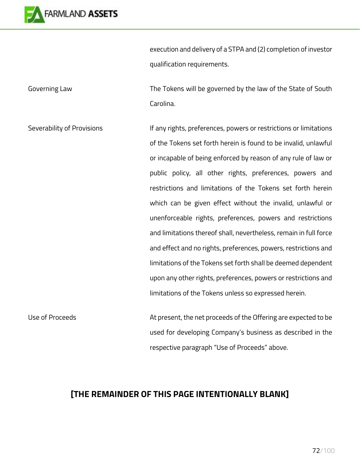

execution and delivery of a STPA and (2) completion of investor qualification requirements.

Governing Law The Tokens will be governed by the law of the State of South Carolina.

Severability of Provisions **If any rights, preferences, powers or restrictions or limitations** of the Tokens set forth herein is found to be invalid, unlawful or incapable of being enforced by reason of any rule of law or public policy, all other rights, preferences, powers and restrictions and limitations of the Tokens set forth herein which can be given effect without the invalid, unlawful or unenforceable rights, preferences, powers and restrictions and limitations thereof shall, nevertheless, remain in full force and effect and no rights, preferences, powers, restrictions and limitations of the Tokens set forth shall be deemed dependent upon any other rights, preferences, powers or restrictions and limitations of the Tokens unless so expressed herein.

Use of Proceeds **At present, the net proceeds of the Offering are expected to be** used for developing Company's business as described in the respective paragraph "Use of Proceeds" above.

## **[THE REMAINDER OF THIS PAGE INTENTIONALLY BLANK]**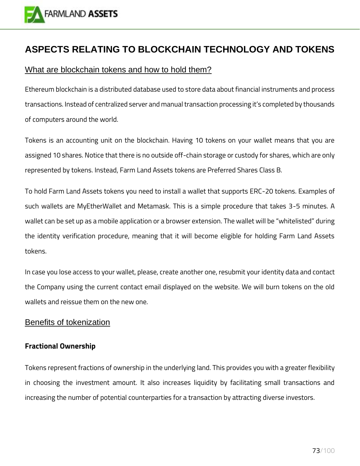

## **ASPECTS RELATING TO BLOCKCHAIN TECHNOLOGY AND TOKENS**

## What are blockchain tokens and how to hold them?

Ethereum blockchain is a distributed database used to store data about financial instruments and process transactions. Instead of centralized server and manual transaction processing it's completed by thousands of computers around the world.

Tokens is an accounting unit on the blockchain. Having 10 tokens on your wallet means that you are assigned 10 shares. Notice that there is no outside off-chain storage or custody for shares, which are only represented by tokens. Instead, Farm Land Assets tokens are Preferred Shares Class B.

To hold Farm Land Assets tokens you need to install a wallet that supports ERC-20 tokens. Examples of such wallets are MyEtherWallet and Metamask. This is a simple procedure that takes 3-5 minutes. A wallet can be set up as a mobile application or a browser extension. The wallet will be "whitelisted" during the identity verification procedure, meaning that it will become eligible for holding Farm Land Assets tokens.

In case you lose access to your wallet, please, create another one, resubmit your identity data and contact the Company using the current contact email displayed on the website. We will burn tokens on the old wallets and reissue them on the new one.

## Benefits of tokenization

### **Fractional Ownership**

Tokens represent fractions of ownership in the underlying land. This provides you with a greater flexibility in choosing the investment amount. It also increases liquidity by facilitating small transactions and increasing the number of potential counterparties for a transaction by attracting diverse investors.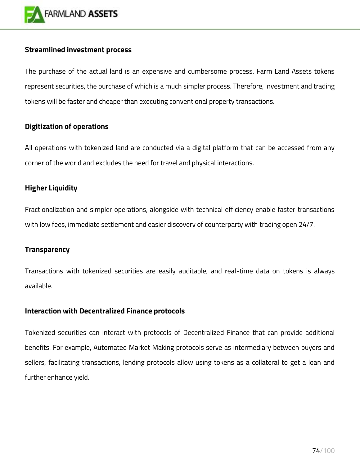

### **Streamlined investment process**

The purchase of the actual land is an expensive and cumbersome process. Farm Land Assets tokens represent securities, the purchase of which is a much simpler process. Therefore, investment and trading tokens will be faster and cheaper than executing conventional property transactions.

## **Digitization of operations**

All operations with tokenized land are conducted via a digital platform that can be accessed from any corner of the world and excludes the need for travel and physical interactions.

## **Higher Liquidity**

Fractionalization and simpler operations, alongside with technical efficiency enable faster transactions with low fees, immediate settlement and easier discovery of counterparty with trading open 24/7.

### **Transparency**

Transactions with tokenized securities are easily auditable, and real-time data on tokens is always available.

### **Interaction with Decentralized Finance protocols**

Tokenized securities can interact with protocols of Decentralized Finance that can provide additional benefits. For example, Automated Market Making protocols serve as intermediary between buyers and sellers, facilitating transactions, lending protocols allow using tokens as a collateral to get a loan and further enhance yield.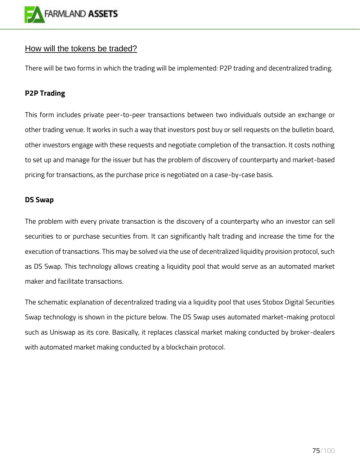

## How will the tokens be traded?

There will be two forms in which the trading will be implemented: P2P trading and decentralized trading.

## **P2P Trading**

This form includes private peer-to-peer transactions between two individuals outside an exchange or other trading venue. It works in such a way that investors post buy or sell requests on the bulletin board, other investors engage with these requests and negotiate completion of the transaction. It costs nothing to set up and manage for the issuer but has the problem of discovery of counterparty and market-based pricing for transactions, as the purchase price is negotiated on a case-by-case basis.

### **DS Swap**

The problem with every private transaction is the discovery of a counterparty who an investor can sell securities to or purchase securities from. It can significantly halt trading and increase the time for the execution of transactions. This may be solved via the use of decentralized liquidity provision protocol, such as DS Swap. This technology allows creating a liquidity pool that would serve as an automated market maker and facilitate transactions.

The schematic explanation of decentralized trading via a liquidity pool that uses Stobox Digital Securities Swap technology is shown in the picture below. The DS Swap uses automated market-making protocol such as Uniswap as its core. Basically, it replaces classical market making conducted by broker-dealers with automated market making conducted by a blockchain protocol.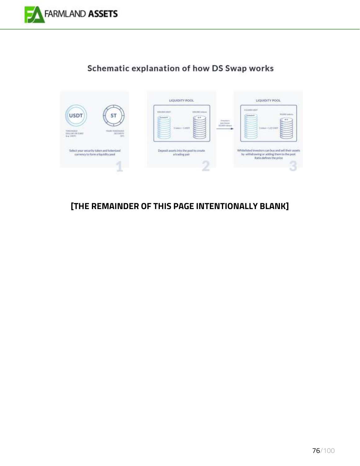

# Schematic explanation of how DS Swap works



## **[THE REMAINDER OF THIS PAGE INTENTIONALLY BLANK]**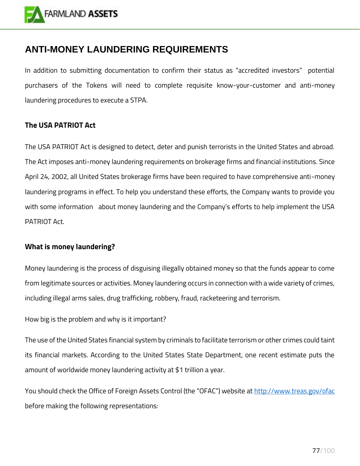

## **ANTI-MONEY LAUNDERING REQUIREMENTS**

In addition to submitting documentation to confirm their status as "accredited investors" potential purchasers of the Tokens will need to complete requisite know-your-customer and anti-money laundering procedures to execute a STPA.

## **The USA PATRIOT Act**

The USA PATRIOT Act is designed to detect, deter and punish terrorists in the United States and abroad. The Act imposes anti-money laundering requirements on brokerage firms and financial institutions. Since April 24, 2002, all United States brokerage firms have been required to have comprehensive anti-money laundering programs in effect. To help you understand these efforts, the Company wants to provide you with some information about money laundering and the Company's efforts to help implement the USA PATRIOT Act.

## **What is money laundering?**

Money laundering is the process of disguising illegally obtained money so that the funds appear to come from legitimate sources or activities. Money laundering occurs in connection with a wide variety of crimes, including illegal arms sales, drug trafficking, robbery, fraud, racketeering and terrorism.

How big is the problem and why is it important?

The use of the United States financial system by criminals to facilitate terrorism or other crimes could taint its financial markets. According to the United States State Department, one recent estimate puts the amount of worldwide money laundering activity at \$1 trillion a year.

You should check the Office of Foreign Assets Control (the "OFAC") website at <http://www.treas.gov/ofac> before making the following representations: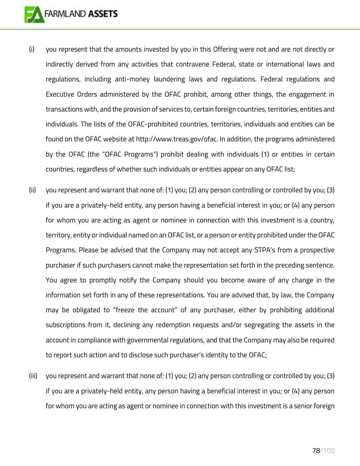- (i) you represent that the amounts invested by you in this Offering were not and are not directly or indirectly derived from any activities that contravene Federal, state or international laws and regulations, including anti-money laundering laws and regulations. Federal regulations and Executive Orders administered by the OFAC prohibit, among other things, the engagement in transactions with, and the provision of services to, certain foreign countries, territories, entities and individuals. The lists of the OFAC-prohibited countries, territories, individuals and entities can be found on the OFAC website at [http://www.treas.gov/ofac.](http://www.treas.gov/ofac) In addition, the programs administered by the OFAC (the "OFAC Programs") prohibit dealing with individuals (1) or entities in certain countries, regardless of whether such individuals or entities appear on any OFAC list;
- (ii) you represent and warrant that none of: (1) you; (2) any person controlling or controlled by you; (3) if you are a privately-held entity, any person having a beneficial interest in you; or (4) any person for whom you are acting as agent or nominee in connection with this investment is a country, territory, entity or individual named on an OFAC list, or a person or entity prohibited under the OFAC Programs. Please be advised that the Company may not accept any STPA's from a prospective purchaser if such purchasers cannot make the representation set forth in the preceding sentence. You agree to promptly notify the Company should you become aware of any change in the information set forth in any of these representations. You are advised that, by law, the Company may be obligated to "freeze the account" of any purchaser, either by prohibiting additional subscriptions from it, declining any redemption requests and/or segregating the assets in the account in compliance with governmental regulations, and that the Company may also be required to report such action and to disclose such purchaser's identity to the OFAC;
- (iii) you represent and warrant that none of: (1) you; (2) any person controlling or controlled by you; (3) if you are a privately-held entity, any person having a beneficial interest in you; or (4) any person for whom you are acting as agent or nominee in connection with this investment is a senior foreign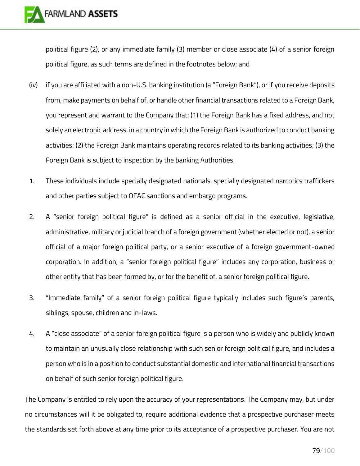political figure (2), or any immediate family (3) member or close associate (4) of a senior foreign political figure, as such terms are defined in the footnotes below; and

- (iv) if you are affiliated with a non-U.S. banking institution (a "Foreign Bank"), or if you receive deposits from, make payments on behalf of, or handle other financial transactions related to a Foreign Bank, you represent and warrant to the Company that: (1) the Foreign Bank has a fixed address, and not solely an electronic address, in a country in which the Foreign Bank is authorized to conduct banking activities; (2) the Foreign Bank maintains operating records related to its banking activities; (3) the Foreign Bank is subject to inspection by the banking Authorities.
- 1. These individuals include specially designated nationals, specially designated narcotics traffickers and other parties subject to OFAC sanctions and embargo programs.
- 2. A "senior foreign political figure" is defined as a senior official in the executive, legislative, administrative, military or judicial branch of a foreign government (whether elected or not), a senior official of a major foreign political party, or a senior executive of a foreign government-owned corporation. In addition, a "senior foreign political figure" includes any corporation, business or other entity that has been formed by, or for the benefit of, a senior foreign political figure.
- 3. "Immediate family" of a senior foreign political figure typically includes such figure's parents, siblings, spouse, children and in-laws.
- 4. A "close associate" of a senior foreign political figure is a person who is widely and publicly known to maintain an unusually close relationship with such senior foreign political figure, and includes a person who is in a position to conduct substantial domestic and international financial transactions on behalf of such senior foreign political figure.

The Company is entitled to rely upon the accuracy of your representations. The Company may, but under no circumstances will it be obligated to, require additional evidence that a prospective purchaser meets the standards set forth above at any time prior to its acceptance of a prospective purchaser. You are not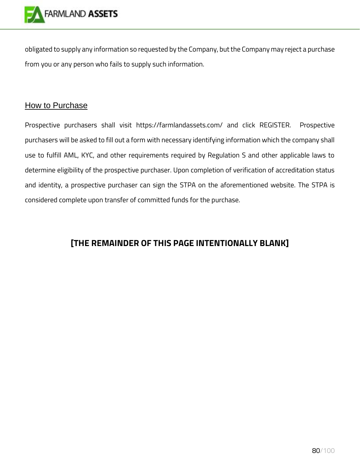

obligated to supply any information so requested by the Company, but the Company may reject a purchase from you or any person who fails to supply such information.

## How to Purchase

Prospective purchasers shall visit https://farmlandassets.com/ and click REGISTER. Prospective purchasers will be asked to fill out a form with necessary identifying information which the company shall use to fulfill AML, KYC, and other requirements required by Regulation S and other applicable laws to determine eligibility of the prospective purchaser. Upon completion of verification of accreditation status and identity, a prospective purchaser can sign the STPA on the aforementioned website. The STPA is considered complete upon transfer of committed funds for the purchase.

## **[THE REMAINDER OF THIS PAGE INTENTIONALLY BLANK]**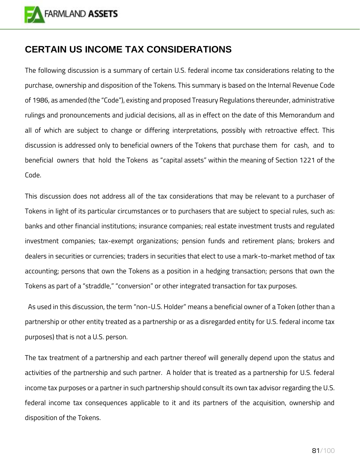

## **CERTAIN US INCOME TAX CONSIDERATIONS**

The following discussion is a summary of certain U.S. federal income tax considerations relating to the purchase, ownership and disposition of the Tokens. This summary is based on the Internal Revenue Code of 1986, as amended (the "Code"), existing and proposed Treasury Regulations thereunder, administrative rulings and pronouncements and judicial decisions, all as in effect on the date of this Memorandum and all of which are subject to change or differing interpretations, possibly with retroactive effect. This discussion is addressed only to beneficial owners of the Tokens that purchase them for cash, and to beneficial owners that hold the Tokens as "capital assets" within the meaning of Section 1221 of the Code.

This discussion does not address all of the tax considerations that may be relevant to a purchaser of Tokens in light of its particular circumstances or to purchasers that are subject to special rules, such as: banks and other financial institutions; insurance companies; real estate investment trusts and regulated investment companies; tax-exempt organizations; pension funds and retirement plans; brokers and dealers in securities or currencies; traders in securities that elect to use a mark-to-market method of tax accounting; persons that own the Tokens as a position in a hedging transaction; persons that own the Tokens as part of a "straddle," "conversion" or other integrated transaction for tax purposes.

 As used in this discussion, the term "non-U.S. Holder" means a beneficial owner of a Token (other than a partnership or other entity treated as a partnership or as a disregarded entity for U.S. federal income tax purposes) that is not a U.S. person.

The tax treatment of a partnership and each partner thereof will generally depend upon the status and activities of the partnership and such partner. A holder that is treated as a partnership for U.S. federal income tax purposes or a partner in such partnership should consult its own tax advisor regarding the U.S. federal income tax consequences applicable to it and its partners of the acquisition, ownership and disposition of the Tokens.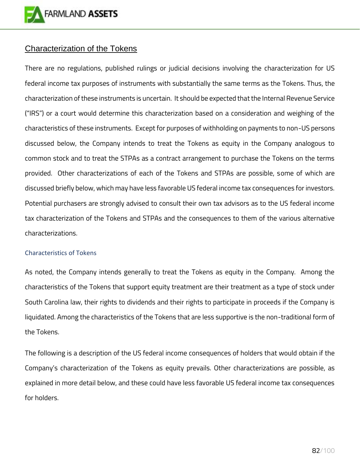

## Characterization of the Tokens

There are no regulations, published rulings or judicial decisions involving the characterization for US federal income tax purposes of instruments with substantially the same terms as the Tokens. Thus, the characterization of these instruments is uncertain. It should be expected that the Internal Revenue Service ("IRS") or a court would determine this characterization based on a consideration and weighing of the characteristics of these instruments. Except for purposes of withholding on payments to non-US persons discussed below, the Company intends to treat the Tokens as equity in the Company analogous to common stock and to treat the STPAs as a contract arrangement to purchase the Tokens on the terms provided. Other characterizations of each of the Tokens and STPAs are possible, some of which are discussed briefly below, which may have less favorable US federal income tax consequences for investors. Potential purchasers are strongly advised to consult their own tax advisors as to the US federal income tax characterization of the Tokens and STPAs and the consequences to them of the various alternative characterizations.

#### Characteristics of Tokens

As noted, the Company intends generally to treat the Tokens as equity in the Company. Among the characteristics of the Tokens that support equity treatment are their treatment as a type of stock under South Carolina law, their rights to dividends and their rights to participate in proceeds if the Company is liquidated. Among the characteristics of the Tokens that are less supportive is the non-traditional form of the Tokens.

The following is a description of the US federal income consequences of holders that would obtain if the Company's characterization of the Tokens as equity prevails. Other characterizations are possible, as explained in more detail below, and these could have less favorable US federal income tax consequences for holders.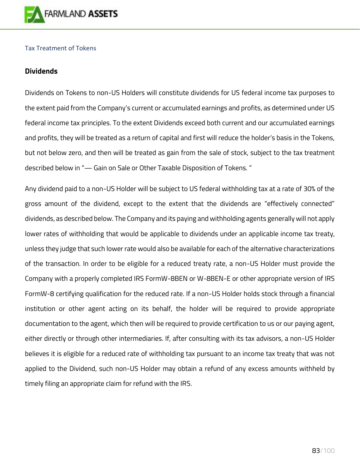

#### Tax Treatment of Tokens

### **Dividends**

Dividends on Tokens to non-US Holders will constitute dividends for US federal income tax purposes to the extent paid from the Company's current or accumulated earnings and profits, as determined under US federal income tax principles. To the extent Dividends exceed both current and our accumulated earnings and profits, they will be treated as a return of capital and first will reduce the holder's basis in the Tokens, but not below zero, and then will be treated as gain from the sale of stock, subject to the tax treatment described below in "— Gain on Sale or Other Taxable Disposition of Tokens. "

Any dividend paid to a non-US Holder will be subject to US federal withholding tax at a rate of 30% of the gross amount of the dividend, except to the extent that the dividends are "effectively connected" dividends, as described below. The Company and its paying and withholding agents generally will not apply lower rates of withholding that would be applicable to dividends under an applicable income tax treaty, unless they judge that such lower rate would also be available for each of the alternative characterizations of the transaction. In order to be eligible for a reduced treaty rate, a non-US Holder must provide the Company with a properly completed IRS FormW-8BEN or W-8BEN-E or other appropriate version of IRS FormW-8 certifying qualification for the reduced rate. If a non-US Holder holds stock through a financial institution or other agent acting on its behalf, the holder will be required to provide appropriate documentation to the agent, which then will be required to provide certification to us or our paying agent, either directly or through other intermediaries. If, after consulting with its tax advisors, a non-US Holder believes it is eligible for a reduced rate of withholding tax pursuant to an income tax treaty that was not applied to the Dividend, such non-US Holder may obtain a refund of any excess amounts withheld by timely filing an appropriate claim for refund with the IRS.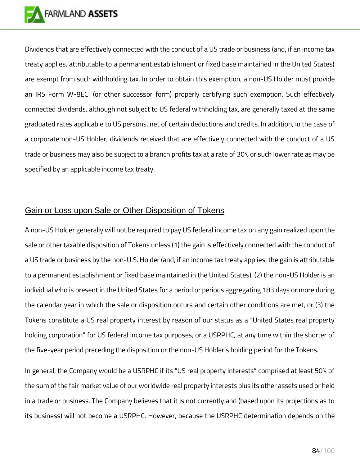

Dividends that are effectively connected with the conduct of a US trade or business (and, if an income tax treaty applies, attributable to a permanent establishment or fixed base maintained in the United States) are exempt from such withholding tax. In order to obtain this exemption, a non-US Holder must provide an IRS Form W-8ECI (or other successor form) properly certifying such exemption. Such effectively connected dividends, although not subject to US federal withholding tax, are generally taxed at the same graduated rates applicable to US persons, net of certain deductions and credits. In addition, in the case of a corporate non-US Holder, dividends received that are effectively connected with the conduct of a US trade or business may also be subject to a branch profits tax at a rate of 30% or such lower rate as may be specified by an applicable income tax treaty.

## Gain or Loss upon Sale or Other Disposition of Tokens

A non-US Holder generally will not be required to pay US federal income tax on any gain realized upon the sale or other taxable disposition of Tokens unless (1) the gain is effectively connected with the conduct of a US trade or business by the non-U.S. Holder (and, if an income tax treaty applies, the gain is attributable to a permanent establishment or fixed base maintained in the United States), (2) the non-US Holder is an individual who is present in the United States for a period or periods aggregating 183 days or more during the calendar year in which the sale or disposition occurs and certain other conditions are met, or (3) the Tokens constitute a US real property interest by reason of our status as a "United States real property holding corporation" for US federal income tax purposes, or a USRPHC, at any time within the shorter of the five-year period preceding the disposition or the non-US Holder's holding period for the Tokens.

In general, the Company would be a USRPHC if its "US real property interests" comprised at least 50% of the sum of the fair market value of our worldwide real property interests plus its other assets used or held in a trade or business. The Company believes that it is not currently and (based upon its projections as to its business) will not become a USRPHC. However, because the USRPHC determination depends on the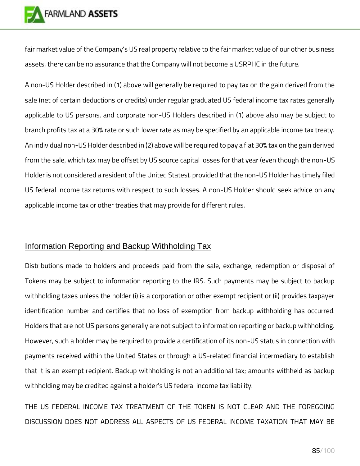

fair market value of the Company's US real property relative to the fair market value of our other business assets, there can be no assurance that the Company will not become a USRPHC in the future.

A non-US Holder described in (1) above will generally be required to pay tax on the gain derived from the sale (net of certain deductions or credits) under regular graduated US federal income tax rates generally applicable to US persons, and corporate non-US Holders described in (1) above also may be subject to branch profits tax at a 30% rate or such lower rate as may be specified by an applicable income tax treaty. An individual non-US Holder described in (2) above will be required to pay a flat 30% tax on the gain derived from the sale, which tax may be offset by US source capital losses for that year (even though the non-US Holder is not considered a resident of the United States), provided that the non-US Holder has timely filed US federal income tax returns with respect to such losses. A non-US Holder should seek advice on any applicable income tax or other treaties that may provide for different rules.

## Information Reporting and Backup Withholding Tax

Distributions made to holders and proceeds paid from the sale, exchange, redemption or disposal of Tokens may be subject to information reporting to the IRS. Such payments may be subject to backup withholding taxes unless the holder (i) is a corporation or other exempt recipient or (ii) provides taxpayer identification number and certifies that no loss of exemption from backup withholding has occurred. Holders that are not US persons generally are not subject to information reporting or backup withholding. However, such a holder may be required to provide a certification of its non-US status in connection with payments received within the United States or through a US-related financial intermediary to establish that it is an exempt recipient. Backup withholding is not an additional tax; amounts withheld as backup withholding may be credited against a holder's US federal income tax liability.

THE US FEDERAL INCOME TAX TREATMENT OF THE TOKEN IS NOT CLEAR AND THE FOREGOING DISCUSSION DOES NOT ADDRESS ALL ASPECTS OF US FEDERAL INCOME TAXATION THAT MAY BE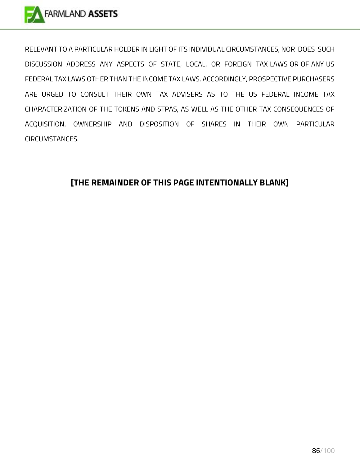

RELEVANT TO A PARTICULAR HOLDER IN LIGHT OF ITS INDIVIDUAL CIRCUMSTANCES, NOR DOES SUCH DISCUSSION ADDRESS ANY ASPECTS OF STATE, LOCAL, OR FOREIGN TAX LAWS OR OF ANY US FEDERAL TAX LAWS OTHER THAN THE INCOME TAX LAWS. ACCORDINGLY, PROSPECTIVE PURCHASERS ARE URGED TO CONSULT THEIR OWN TAX ADVISERS AS TO THE US FEDERAL INCOME TAX CHARACTERIZATION OF THE TOKENS AND STPAS, AS WELL AS THE OTHER TAX CONSEQUENCES OF ACQUISITION, OWNERSHIP AND DISPOSITION OF SHARES IN THEIR OWN PARTICULAR CIRCUMSTANCES.

## **[THE REMAINDER OF THIS PAGE INTENTIONALLY BLANK]**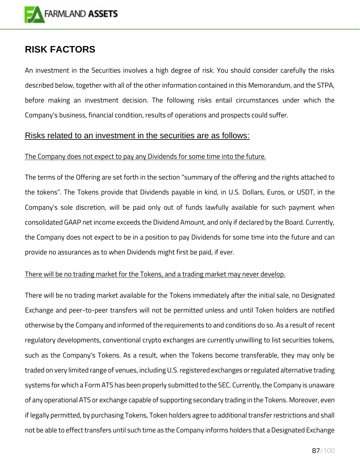

# **RISK FACTORS**

An investment in the Securities involves a high degree of risk. You should consider carefully the risks described below, together with all of the other information contained in this Memorandum, and the STPA, before making an investment decision. The following risks entail circumstances under which the Company's business, financial condition, results of operations and prospects could suffer.

## Risks related to an investment in the securities are as follows:

### The Company does not expect to pay any Dividends for some time into the future.

The terms of the Offering are set forth in the section "summary of the offering and the rights attached to the tokens". The Tokens provide that Dividends payable in kind, in U.S. Dollars, Euros, or USDT, in the Company's sole discretion, will be paid only out of funds lawfully available for such payment when consolidated GAAP net income exceeds the Dividend Amount, and only if declared by the Board. Currently, the Company does not expect to be in a position to pay Dividends for some time into the future and can provide no assurances as to when Dividends might first be paid, if ever.

### There will be no trading market for the Tokens, and a trading market may never develop.

There will be no trading market available for the Tokens immediately after the initial sale, no Designated Exchange and peer-to-peer transfers will not be permitted unless and until Token holders are notified otherwise by the Company and informed of the requirements to and conditions do so. As a result of recent regulatory developments, conventional crypto exchanges are currently unwilling to list securities tokens, such as the Company's Tokens. As a result, when the Tokens become transferable, they may only be traded on very limited range of venues, including U.S. registered exchanges or regulated alternative trading systems for which a Form ATS has been properly submitted to the SEC. Currently, the Company is unaware of any operational ATS or exchange capable of supporting secondary trading in the Tokens. Moreover, even if legally permitted, by purchasing Tokens, Token holders agree to additional transfer restrictions and shall not be able to effect transfers until such time as the Company informs holders that a Designated Exchange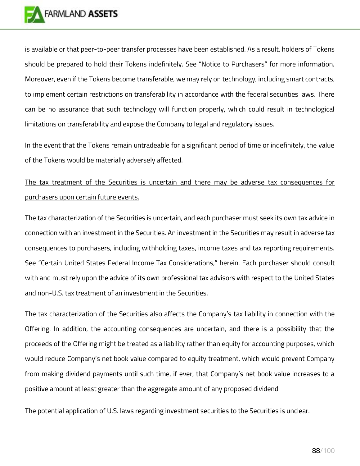

is available or that peer-to-peer transfer processes have been established. As a result, holders of Tokens should be prepared to hold their Tokens indefinitely. See "Notice to Purchasers" for more information. Moreover, even if the Tokens become transferable, we may rely on technology, including smart contracts, to implement certain restrictions on transferability in accordance with the federal securities laws. There can be no assurance that such technology will function properly, which could result in technological limitations on transferability and expose the Company to legal and regulatory issues.

In the event that the Tokens remain untradeable for a significant period of time or indefinitely, the value of the Tokens would be materially adversely affected.

# The tax treatment of the Securities is uncertain and there may be adverse tax consequences for purchasers upon certain future events.

The tax characterization of the Securities is uncertain, and each purchaser must seek its own tax advice in connection with an investment in the Securities. An investment in the Securities may result in adverse tax consequences to purchasers, including withholding taxes, income taxes and tax reporting requirements. See "Certain United States Federal Income Tax Considerations," herein. Each purchaser should consult with and must rely upon the advice of its own professional tax advisors with respect to the United States and non-U.S. tax treatment of an investment in the Securities.

The tax characterization of the Securities also affects the Company's tax liability in connection with the Offering. In addition, the accounting consequences are uncertain, and there is a possibility that the proceeds of the Offering might be treated as a liability rather than equity for accounting purposes, which would reduce Company's net book value compared to equity treatment, which would prevent Company from making dividend payments until such time, if ever, that Company's net book value increases to a positive amount at least greater than the aggregate amount of any proposed dividend

#### The potential application of U.S. laws regarding investment securities to the Securities is unclear.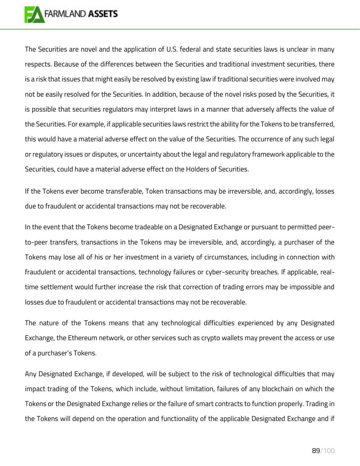

The Securities are novel and the application of U.S. federal and state securities laws is unclear in many respects. Because of the differences between the Securities and traditional investment securities, there is a risk that issues that might easily be resolved by existing law if traditional securities were involved may not be easily resolved for the Securities. In addition, because of the novel risks posed by the Securities, it is possible that securities regulators may interpret laws in a manner that adversely affects the value of the Securities. For example, if applicable securities laws restrict the ability for the Tokens to be transferred, this would have a material adverse effect on the value of the Securities. The occurrence of any such legal or regulatory issues or disputes, or uncertainty about the legal and regulatory framework applicable to the Securities, could have a material adverse effect on the Holders of Securities.

If the Tokens ever become transferable, Token transactions may be irreversible, and, accordingly, losses due to fraudulent or accidental transactions may not be recoverable.

In the event that the Tokens become tradeable on a Designated Exchange or pursuant to permitted peerto-peer transfers, transactions in the Tokens may be irreversible, and, accordingly, a purchaser of the Tokens may lose all of his or her investment in a variety of circumstances, including in connection with fraudulent or accidental transactions, technology failures or cyber-security breaches. If applicable, realtime settlement would further increase the risk that correction of trading errors may be impossible and losses due to fraudulent or accidental transactions may not be recoverable.

The nature of the Tokens means that any technological difficulties experienced by any Designated Exchange, the Ethereum network, or other services such as crypto wallets may prevent the access or use of a purchaser's Tokens.

Any Designated Exchange, if developed, will be subject to the risk of technological difficulties that may impact trading of the Tokens, which include, without limitation, failures of any blockchain on which the Tokens or the Designated Exchange relies or the failure of smart contracts to function properly. Trading in the Tokens will depend on the operation and functionality of the applicable Designated Exchange and if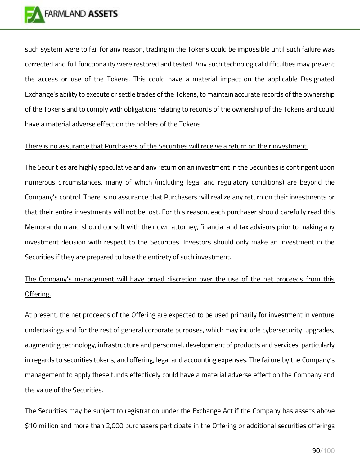

such system were to fail for any reason, trading in the Tokens could be impossible until such failure was corrected and full functionality were restored and tested. Any such technological difficulties may prevent the access or use of the Tokens. This could have a material impact on the applicable Designated Exchange's ability to execute or settle trades of the Tokens, to maintain accurate records of the ownership of the Tokens and to comply with obligations relating to records of the ownership of the Tokens and could have a material adverse effect on the holders of the Tokens.

#### There is no assurance that Purchasers of the Securities will receive a return on their investment.

The Securities are highly speculative and any return on an investment in the Securities is contingent upon numerous circumstances, many of which (including legal and regulatory conditions) are beyond the Company's control. There is no assurance that Purchasers will realize any return on their investments or that their entire investments will not be lost. For this reason, each purchaser should carefully read this Memorandum and should consult with their own attorney, financial and tax advisors prior to making any investment decision with respect to the Securities. Investors should only make an investment in the Securities if they are prepared to lose the entirety of such investment.

# The Company's management will have broad discretion over the use of the net proceeds from this Offering.

At present, the net proceeds of the Offering are expected to be used primarily for investment in venture undertakings and for the rest of general corporate purposes, which may include cybersecurity upgrades, augmenting technology, infrastructure and personnel, development of products and services, particularly in regards to securities tokens, and offering, legal and accounting expenses. The failure by the Company's management to apply these funds effectively could have a material adverse effect on the Company and the value of the Securities.

The Securities may be subject to registration under the Exchange Act if the Company has assets above \$10 million and more than 2,000 purchasers participate in the Offering or additional securities offerings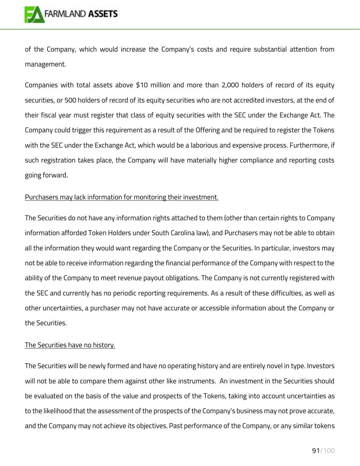

of the Company, which would increase the Company's costs and require substantial attention from management.

Companies with total assets above \$10 million and more than 2,000 holders of record of its equity securities, or 500 holders of record of its equity securities who are not accredited investors, at the end of their fiscal year must register that class of equity securities with the SEC under the Exchange Act. The Company could trigger this requirement as a result of the Offering and be required to register the Tokens with the SEC under the Exchange Act, which would be a laborious and expensive process. Furthermore, if such registration takes place, the Company will have materially higher compliance and reporting costs going forward.

#### Purchasers may lack information for monitoring their investment.

The Securities do not have any information rights attached to them (other than certain rights to Company information afforded Token Holders under South Carolina law), and Purchasers may not be able to obtain all the information they would want regarding the Company or the Securities. In particular, investors may not be able to receive information regarding the financial performance of the Company with respect to the ability of the Company to meet revenue payout obligations. The Company is not currently registered with the SEC and currently has no periodic reporting requirements. As a result of these difficulties, as well as other uncertainties, a purchaser may not have accurate or accessible information about the Company or the Securities.

#### The Securities have no history.

The Securities will be newly formed and have no operating history and are entirely novel in type. Investors will not be able to compare them against other like instruments. An investment in the Securities should be evaluated on the basis of the value and prospects of the Tokens, taking into account uncertainties as to the likelihood that the assessment of the prospects of the Company's business may not prove accurate, and the Company may not achieve its objectives. Past performance of the Company, or any similar tokens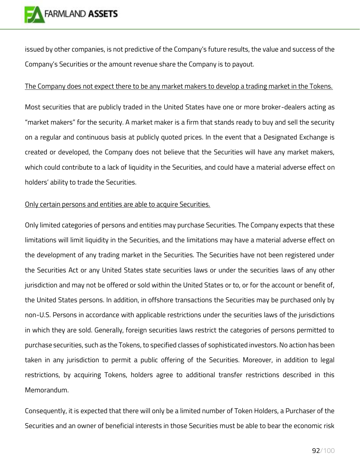

issued by other companies, is not predictive of the Company's future results, the value and success of the Company's Securities or the amount revenue share the Company is to payout.

### The Company does not expect there to be any market makers to develop a trading market in the Tokens.

Most securities that are publicly traded in the United States have one or more broker-dealers acting as "market makers" for the security. A market maker is a firm that stands ready to buy and sell the security on a regular and continuous basis at publicly quoted prices. In the event that a Designated Exchange is created or developed, the Company does not believe that the Securities will have any market makers, which could contribute to a lack of liquidity in the Securities, and could have a material adverse effect on holders' ability to trade the Securities.

### Only certain persons and entities are able to acquire Securities.

Only limited categories of persons and entities may purchase Securities. The Company expects that these limitations will limit liquidity in the Securities, and the limitations may have a material adverse effect on the development of any trading market in the Securities. The Securities have not been registered under the Securities Act or any United States state securities laws or under the securities laws of any other jurisdiction and may not be offered or sold within the United States or to, or for the account or benefit of, the United States persons. In addition, in offshore transactions the Securities may be purchased only by non-U.S. Persons in accordance with applicable restrictions under the securities laws of the jurisdictions in which they are sold. Generally, foreign securities laws restrict the categories of persons permitted to purchase securities, such as the Tokens, to specified classes of sophisticated investors. No action has been taken in any jurisdiction to permit a public offering of the Securities. Moreover, in addition to legal restrictions, by acquiring Tokens, holders agree to additional transfer restrictions described in this Memorandum.

Consequently, it is expected that there will only be a limited number of Token Holders, a Purchaser of the Securities and an owner of beneficial interests in those Securities must be able to bear the economic risk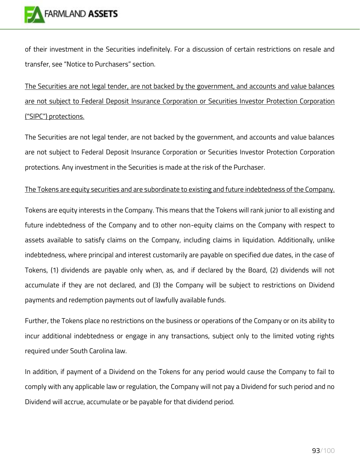of their investment in the Securities indefinitely. For a discussion of certain restrictions on resale and transfer, see "Notice to Purchasers" section.

The Securities are not legal tender, are not backed by the government, and accounts and value balances are not subject to Federal Deposit Insurance Corporation or Securities Investor Protection Corporation ("SIPC") protections.

The Securities are not legal tender, are not backed by the government, and accounts and value balances are not subject to Federal Deposit Insurance Corporation or Securities Investor Protection Corporation protections. Any investment in the Securities is made at the risk of the Purchaser.

### The Tokens are equity securities and are subordinate to existing and future indebtedness of the Company.

Tokens are equity interests in the Company. This means that the Tokens will rank junior to all existing and future indebtedness of the Company and to other non-equity claims on the Company with respect to assets available to satisfy claims on the Company, including claims in liquidation. Additionally, unlike indebtedness, where principal and interest customarily are payable on specified due dates, in the case of Tokens, (1) dividends are payable only when, as, and if declared by the Board, (2) dividends will not accumulate if they are not declared, and (3) the Company will be subject to restrictions on Dividend payments and redemption payments out of lawfully available funds.

Further, the Tokens place no restrictions on the business or operations of the Company or on its ability to incur additional indebtedness or engage in any transactions, subject only to the limited voting rights required under South Carolina law.

In addition, if payment of a Dividend on the Tokens for any period would cause the Company to fail to comply with any applicable law or regulation, the Company will not pay a Dividend for such period and no Dividend will accrue, accumulate or be payable for that dividend period.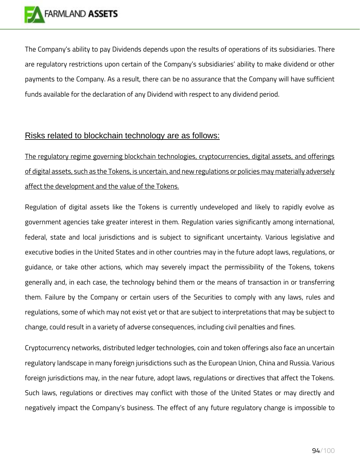

The Company's ability to pay Dividends depends upon the results of operations of its subsidiaries. There are regulatory restrictions upon certain of the Company's subsidiaries' ability to make dividend or other payments to the Company. As a result, there can be no assurance that the Company will have sufficient funds available for the declaration of any Dividend with respect to any dividend period.

## Risks related to blockchain technology are as follows:

The regulatory regime governing blockchain technologies, cryptocurrencies, digital assets, and offerings of digital assets, such as the Tokens, is uncertain, and new regulations or policies may materially adversely affect the development and the value of the Tokens.

Regulation of digital assets like the Tokens is currently undeveloped and likely to rapidly evolve as government agencies take greater interest in them. Regulation varies significantly among international, federal, state and local jurisdictions and is subject to significant uncertainty. Various legislative and executive bodies in the United States and in other countries may in the future adopt laws, regulations, or guidance, or take other actions, which may severely impact the permissibility of the Tokens, tokens generally and, in each case, the technology behind them or the means of transaction in or transferring them. Failure by the Company or certain users of the Securities to comply with any laws, rules and regulations, some of which may not exist yet or that are subject to interpretations that may be subject to change, could result in a variety of adverse consequences, including civil penalties and fines.

Cryptocurrency networks, distributed ledger technologies, coin and token offerings also face an uncertain regulatory landscape in many foreign jurisdictions such as the European Union, China and Russia. Various foreign jurisdictions may, in the near future, adopt laws, regulations or directives that affect the Tokens. Such laws, regulations or directives may conflict with those of the United States or may directly and negatively impact the Company's business. The effect of any future regulatory change is impossible to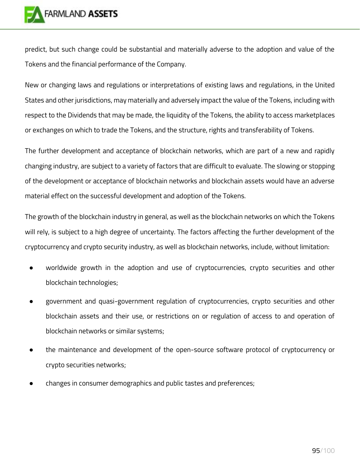

predict, but such change could be substantial and materially adverse to the adoption and value of the Tokens and the financial performance of the Company.

New or changing laws and regulations or interpretations of existing laws and regulations, in the United States and other jurisdictions, may materially and adversely impact the value of the Tokens, including with respect to the Dividends that may be made, the liquidity of the Tokens, the ability to access marketplaces or exchanges on which to trade the Tokens, and the structure, rights and transferability of Tokens.

The further development and acceptance of blockchain networks, which are part of a new and rapidly changing industry, are subject to a variety of factors that are difficult to evaluate. The slowing or stopping of the development or acceptance of blockchain networks and blockchain assets would have an adverse material effect on the successful development and adoption of the Tokens.

The growth of the blockchain industry in general, as well as the blockchain networks on which the Tokens will rely, is subject to a high degree of uncertainty. The factors affecting the further development of the cryptocurrency and crypto security industry, as well as blockchain networks, include, without limitation:

- worldwide growth in the adoption and use of cryptocurrencies, crypto securities and other blockchain technologies;
- government and quasi-government regulation of cryptocurrencies, crypto securities and other blockchain assets and their use, or restrictions on or regulation of access to and operation of blockchain networks or similar systems;
- the maintenance and development of the open-source software protocol of cryptocurrency or crypto securities networks;
- changes in consumer demographics and public tastes and preferences;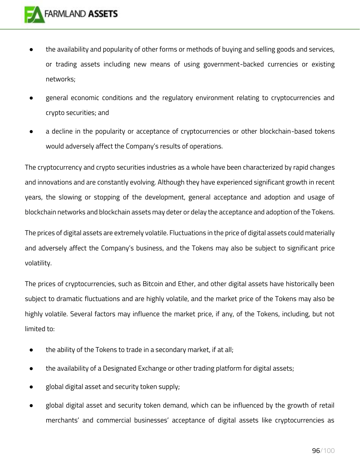- the availability and popularity of other forms or methods of buying and selling goods and services, or trading assets including new means of using government-backed currencies or existing networks;
- general economic conditions and the regulatory environment relating to cryptocurrencies and crypto securities; and
- a decline in the popularity or acceptance of cryptocurrencies or other blockchain-based tokens would adversely affect the Company's results of operations.

The cryptocurrency and crypto securities industries as a whole have been characterized by rapid changes and innovations and are constantly evolving. Although they have experienced significant growth in recent years, the slowing or stopping of the development, general acceptance and adoption and usage of blockchain networks and blockchain assets may deter or delay the acceptance and adoption of the Tokens.

The prices of digital assets are extremely volatile. Fluctuations in the price of digital assets could materially and adversely affect the Company's business, and the Tokens may also be subject to significant price volatility.

The prices of cryptocurrencies, such as Bitcoin and Ether, and other digital assets have historically been subject to dramatic fluctuations and are highly volatile, and the market price of the Tokens may also be highly volatile. Several factors may influence the market price, if any, of the Tokens, including, but not limited to:

- the ability of the Tokens to trade in a secondary market, if at all;
- the availability of a Designated Exchange or other trading platform for digital assets;
- global digital asset and security token supply;
- global digital asset and security token demand, which can be influenced by the growth of retail merchants' and commercial businesses' acceptance of digital assets like cryptocurrencies as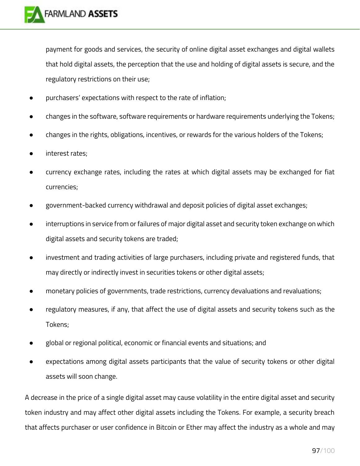

payment for goods and services, the security of online digital asset exchanges and digital wallets that hold digital assets, the perception that the use and holding of digital assets is secure, and the regulatory restrictions on their use;

- purchasers' expectations with respect to the rate of inflation;
- changes in the software, software requirements or hardware requirements underlying the Tokens;
- changes in the rights, obligations, incentives, or rewards for the various holders of the Tokens;
- interest rates;
- currency exchange rates, including the rates at which digital assets may be exchanged for fiat currencies;
- government-backed currency withdrawal and deposit policies of digital asset exchanges;
- interruptions in service from or failures of major digital asset and security token exchange on which digital assets and security tokens are traded;
- investment and trading activities of large purchasers, including private and registered funds, that may directly or indirectly invest in securities tokens or other digital assets;
- monetary policies of governments, trade restrictions, currency devaluations and revaluations;
- regulatory measures, if any, that affect the use of digital assets and security tokens such as the Tokens;
- global or regional political, economic or financial events and situations; and
- expectations among digital assets participants that the value of security tokens or other digital assets will soon change.

A decrease in the price of a single digital asset may cause volatility in the entire digital asset and security token industry and may affect other digital assets including the Tokens. For example, a security breach that affects purchaser or user confidence in Bitcoin or Ether may affect the industry as a whole and may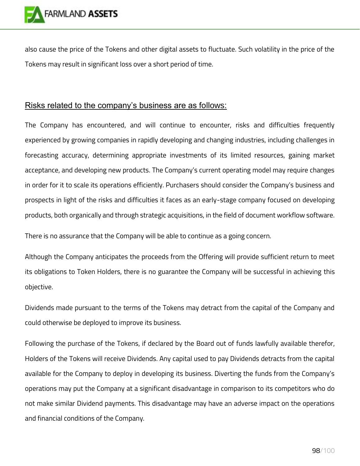

also cause the price of the Tokens and other digital assets to fluctuate. Such volatility in the price of the Tokens may result in significant loss over a short period of time.

## Risks related to the company's business are as follows:

The Company has encountered, and will continue to encounter, risks and difficulties frequently experienced by growing companies in rapidly developing and changing industries, including challenges in forecasting accuracy, determining appropriate investments of its limited resources, gaining market acceptance, and developing new products. The Company's current operating model may require changes in order for it to scale its operations efficiently. Purchasers should consider the Company's business and prospects in light of the risks and difficulties it faces as an early-stage company focused on developing products, both organically and through strategic acquisitions, in the field of document workflow software.

There is no assurance that the Company will be able to continue as a going concern.

Although the Company anticipates the proceeds from the Offering will provide sufficient return to meet its obligations to Token Holders, there is no guarantee the Company will be successful in achieving this objective.

Dividends made pursuant to the terms of the Tokens may detract from the capital of the Company and could otherwise be deployed to improve its business.

Following the purchase of the Tokens, if declared by the Board out of funds lawfully available therefor, Holders of the Tokens will receive Dividends. Any capital used to pay Dividends detracts from the capital available for the Company to deploy in developing its business. Diverting the funds from the Company's operations may put the Company at a significant disadvantage in comparison to its competitors who do not make similar Dividend payments. This disadvantage may have an adverse impact on the operations and financial conditions of the Company.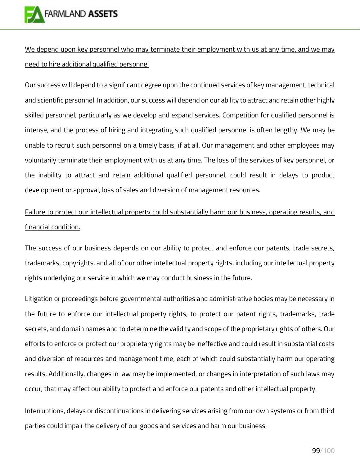

We depend upon key personnel who may terminate their employment with us at any time, and we may need to hire additional qualified personnel

Our success will depend to a significant degree upon the continued services of key management, technical and scientific personnel. In addition, our success will depend on our ability to attract and retain other highly skilled personnel, particularly as we develop and expand services. Competition for qualified personnel is intense, and the process of hiring and integrating such qualified personnel is often lengthy. We may be unable to recruit such personnel on a timely basis, if at all. Our management and other employees may voluntarily terminate their employment with us at any time. The loss of the services of key personnel, or the inability to attract and retain additional qualified personnel, could result in delays to product development or approval, loss of sales and diversion of management resources.

# Failure to protect our intellectual property could substantially harm our business, operating results, and financial condition.

The success of our business depends on our ability to protect and enforce our patents, trade secrets, trademarks, copyrights, and all of our other intellectual property rights, including our intellectual property rights underlying our service in which we may conduct business in the future.

Litigation or proceedings before governmental authorities and administrative bodies may be necessary in the future to enforce our intellectual property rights, to protect our patent rights, trademarks, trade secrets, and domain names and to determine the validity and scope of the proprietary rights of others. Our efforts to enforce or protect our proprietary rights may be ineffective and could result in substantial costs and diversion of resources and management time, each of which could substantially harm our operating results. Additionally, changes in law may be implemented, or changes in interpretation of such laws may occur, that may affect our ability to protect and enforce our patents and other intellectual property.

# Interruptions, delays or discontinuations in delivering services arising from our own systems or from third parties could impair the delivery of our goods and services and harm our business.